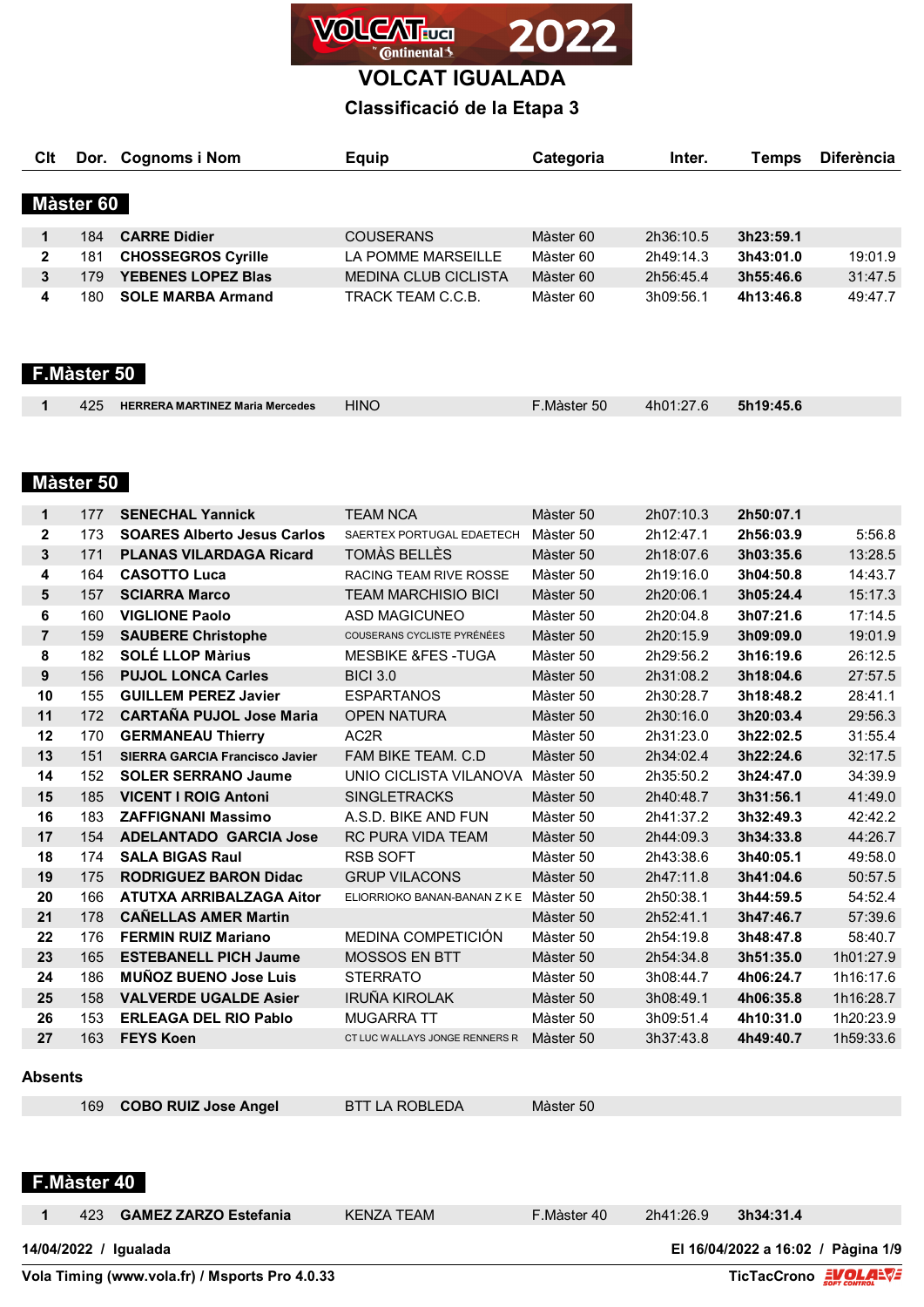

# **Classificació de la Etapa 3**

| Clt          |             | Dor. Cognoms i Nom        | <b>Equip</b>                | Categoria | Inter.    | Temps     | <b>Diferència</b> |
|--------------|-------------|---------------------------|-----------------------------|-----------|-----------|-----------|-------------------|
|              |             |                           |                             |           |           |           |                   |
|              | Màster 60   |                           |                             |           |           |           |                   |
| 1            | 184         | <b>CARRE Didier</b>       | <b>COUSERANS</b>            | Màster 60 | 2h36:10.5 | 3h23:59.1 |                   |
| $\mathbf{2}$ | 181         | <b>CHOSSEGROS Cyrille</b> | LA POMME MARSEILLE          | Màster 60 | 2h49:14.3 | 3h43:01.0 | 19:01.9           |
| $\mathbf{3}$ | 179         | <b>YEBENES LOPEZ Blas</b> | <b>MEDINA CLUB CICLISTA</b> | Màster 60 | 2h56:45.4 | 3h55:46.6 | 31:47.5           |
| 4            | 180         | <b>SOLE MARBA Armand</b>  | TRACK TEAM C.C.B.           | Màster 60 | 3h09:56.1 | 4h13:46.8 | 49:47.7           |
|              |             |                           |                             |           |           |           |                   |
|              |             |                           |                             |           |           |           |                   |
|              | F.Màster 50 |                           |                             |           |           |           |                   |
|              |             |                           |                             |           |           |           |                   |

|  | 425 | <b>HERRERA MARTINEZ Maria Mercedes</b> | <b>HINO</b> | Màster 50°. | 4h01:27.6 | 5h19:45.6 |  |
|--|-----|----------------------------------------|-------------|-------------|-----------|-----------|--|
|--|-----|----------------------------------------|-------------|-------------|-----------|-----------|--|

### **Màster 50**

| 1              | 177 | <b>SENECHAL Yannick</b>               | <b>TEAM NCA</b><br>Màster 50   |           | 2h07:10.3 | 2h50:07.1 |           |
|----------------|-----|---------------------------------------|--------------------------------|-----------|-----------|-----------|-----------|
| $\mathbf{2}$   | 173 | <b>SOARES Alberto Jesus Carlos</b>    | SAERTEX PORTUGAL EDAETECH      | Màster 50 | 2h12:47.1 | 2h56:03.9 | 5:56.8    |
| 3              | 171 | <b>PLANAS VILARDAGA Ricard</b>        | TOMÀS BELLÈS                   | Màster 50 | 2h18:07.6 | 3h03:35.6 | 13:28.5   |
| 4              | 164 | <b>CASOTTO Luca</b>                   | RACING TEAM RIVE ROSSE         | Màster 50 | 2h19:16.0 | 3h04:50.8 | 14:43.7   |
| 5              | 157 | <b>SCIARRA Marco</b>                  | <b>TEAM MARCHISIO BICI</b>     | Màster 50 | 2h20:06.1 | 3h05:24.4 | 15:17.3   |
| 6              | 160 | <b>VIGLIONE Paolo</b>                 | ASD MAGICUNEO                  | Màster 50 | 2h20:04.8 | 3h07:21.6 | 17:14.5   |
| $\overline{7}$ | 159 | <b>SAUBERE Christophe</b>             | COUSERANS CYCLISTE PYRÉNÉES    | Màster 50 | 2h20:15.9 | 3h09:09.0 | 19:01.9   |
| 8              | 182 | <b>SOLÉ LLOP Màrius</b>               | <b>MESBIKE &amp;FES -TUGA</b>  | Màster 50 | 2h29:56.2 | 3h16:19.6 | 26:12.5   |
| 9              | 156 | <b>PUJOL LONCA Carles</b>             | <b>BICI 3.0</b>                | Màster 50 | 2h31:08.2 | 3h18:04.6 | 27:57.5   |
| 10             | 155 | <b>GUILLEM PEREZ Javier</b>           | <b>ESPARTANOS</b>              | Màster 50 | 2h30:28.7 | 3h18:48.2 | 28:41.1   |
| 11             | 172 | <b>CARTAÑA PUJOL Jose Maria</b>       | <b>OPEN NATURA</b>             | Màster 50 | 2h30:16.0 | 3h20:03.4 | 29:56.3   |
| 12             | 170 | <b>GERMANEAU Thierry</b>              | AC <sub>2</sub> R              | Màster 50 | 2h31:23.0 | 3h22:02.5 | 31:55.4   |
| 13             | 151 | <b>SIERRA GARCIA Francisco Javier</b> | FAM BIKE TEAM, C.D.            | Màster 50 | 2h34:02.4 | 3h22:24.6 | 32:17.5   |
| 14             | 152 | <b>SOLER SERRANO Jaume</b>            | UNIO CICLISTA VILANOVA         | Màster 50 | 2h35:50.2 | 3h24:47.0 | 34:39.9   |
| 15             | 185 | <b>VICENT I ROIG Antoni</b>           | <b>SINGLETRACKS</b>            | Màster 50 | 2h40:48.7 | 3h31:56.1 | 41:49.0   |
| 16             | 183 | <b>ZAFFIGNANI Massimo</b>             | A.S.D. BIKE AND FUN            | Màster 50 | 2h41:37.2 | 3h32:49.3 | 42:42.2   |
| 17             | 154 | <b>ADELANTADO GARCIA Jose</b>         | <b>RC PURA VIDA TEAM</b>       | Màster 50 | 2h44:09.3 | 3h34:33.8 | 44:26.7   |
| 18             | 174 | <b>SALA BIGAS Raul</b>                | <b>RSB SOFT</b>                | Màster 50 | 2h43:38.6 | 3h40:05.1 | 49:58.0   |
| 19             | 175 | <b>RODRIGUEZ BARON Didac</b>          | <b>GRUP VILACONS</b>           | Màster 50 | 2h47:11.8 | 3h41:04.6 | 50:57.5   |
| 20             | 166 | <b>ATUTXA ARRIBALZAGA Aitor</b>       | ELIORRIOKO BANAN-BANAN Z K E   | Màster 50 | 2h50:38.1 | 3h44:59.5 | 54:52.4   |
| 21             | 178 | <b>CANELLAS AMER Martin</b>           |                                | Màster 50 | 2h52:41.1 | 3h47:46.7 | 57:39.6   |
| 22             | 176 | <b>FERMIN RUIZ Mariano</b>            | MEDINA COMPETICIÓN             | Màster 50 | 2h54:19.8 | 3h48:47.8 | 58:40.7   |
| 23             | 165 | <b>ESTEBANELL PICH Jaume</b>          | <b>MOSSOS EN BTT</b>           | Màster 50 | 2h54:34.8 | 3h51:35.0 | 1h01:27.9 |
| 24             | 186 | <b>MUÑOZ BUENO Jose Luis</b>          | <b>STERRATO</b>                | Màster 50 | 3h08:44.7 | 4h06:24.7 | 1h16:17.6 |
| 25             | 158 | <b>VALVERDE UGALDE Asier</b>          | <b>IRUÑA KIROLAK</b>           | Màster 50 | 3h08:49.1 | 4h06:35.8 | 1h16:28.7 |
| 26             | 153 | <b>ERLEAGA DEL RIO Pablo</b>          | <b>MUGARRA TT</b>              | Màster 50 | 3h09:51.4 | 4h10:31.0 | 1h20:23.9 |
| 27             | 163 | <b>FEYS Koen</b>                      | CT LUC WALLAYS JONGE RENNERS R | Màster 50 | 3h37:43.8 | 4h49:40.7 | 1h59:33.6 |

## **Absents**

| 169 COBO RUIZ Jose Angel | <b>BTT LA ROBLEDA</b> | Màster 50 |  |
|--------------------------|-----------------------|-----------|--|
|--------------------------|-----------------------|-----------|--|

### **F.Màster 40**

423 **GAMEZ ZARZO Estefania** KENZA TEAM F.Màster 40 2h41:26.9 **3h34:31.4**

**14/04/2022 / Igualada El 16/04/2022 a 16:02 / Pàgina 1/9**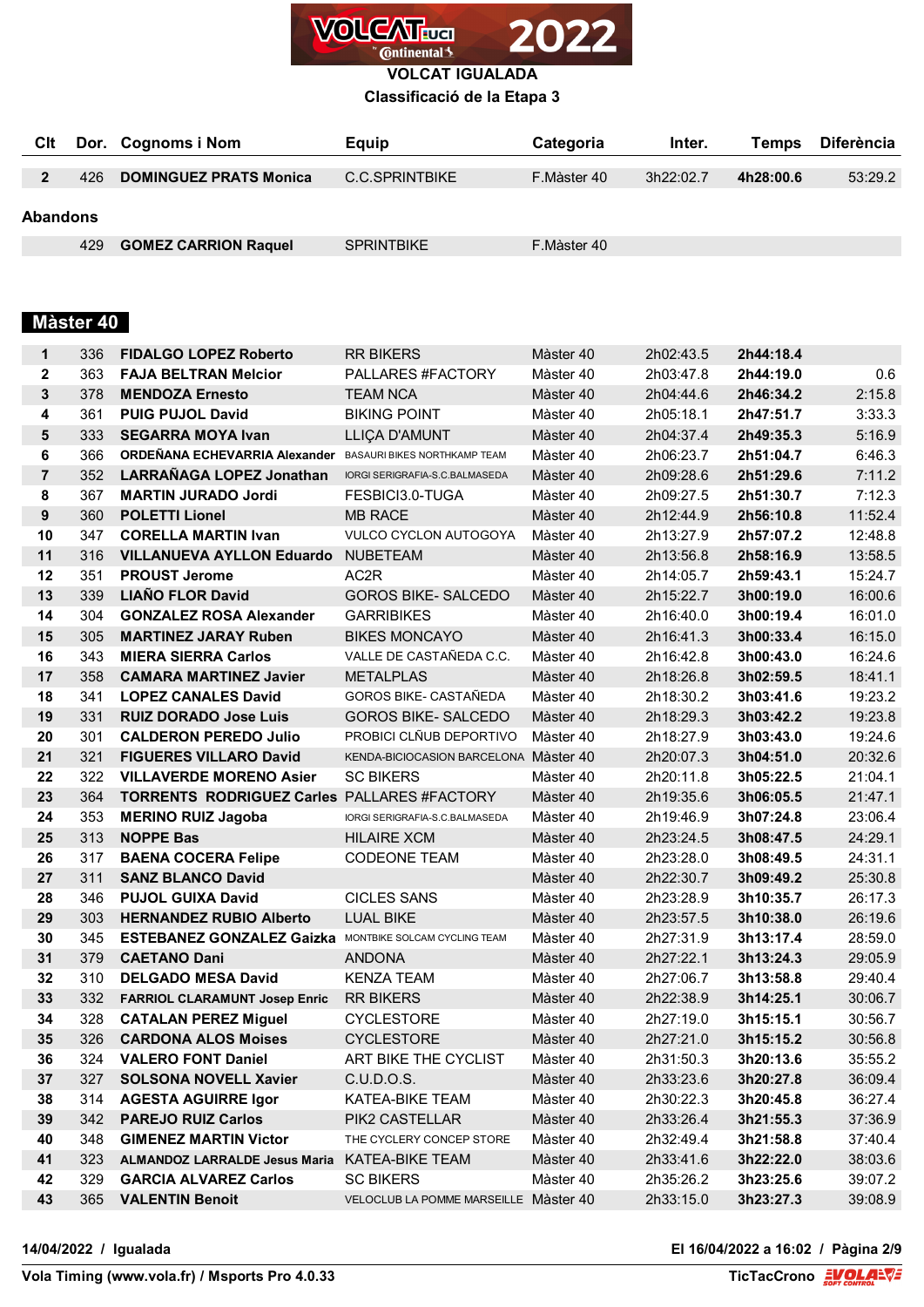

## **Classificació de la Etapa 3**

| Clt             |     | Dor. Cognoms i Nom            | Equip             | <b>Categoria</b> | Inter.    | Temps     | Diferència |
|-----------------|-----|-------------------------------|-------------------|------------------|-----------|-----------|------------|
|                 | 426 | <b>DOMINGUEZ PRATS Monica</b> | C.C.SPRINTBIKE    | F.Màster 40      | 3h22:02.7 | 4h28:00.6 | 53:29.2    |
| <b>Abandons</b> |     |                               |                   |                  |           |           |            |
|                 | 429 | <b>GOMEZ CARRION Raquel</b>   | <b>SPRINTBIKE</b> | F.Màster 40      |           |           |            |

# **Màster 40**

| 1              | 336 | <b>FIDALGO LOPEZ Roberto</b>                               | <b>RR BIKERS</b>                           | Màster 40 | 2h02:43.5 | 2h44:18.4 |         |
|----------------|-----|------------------------------------------------------------|--------------------------------------------|-----------|-----------|-----------|---------|
| $\mathbf 2$    | 363 | <b>FAJA BELTRAN Melcior</b>                                | PALLARES #FACTORY                          | Màster 40 | 2h03:47.8 | 2h44:19.0 | 0.6     |
| 3              | 378 | <b>MENDOZA Ernesto</b>                                     | <b>TEAM NCA</b>                            | Màster 40 | 2h04:44.6 | 2h46:34.2 | 2:15.8  |
| 4              | 361 | <b>PUIG PUJOL David</b>                                    | <b>BIKING POINT</b>                        | Màster 40 | 2h05:18.1 | 2h47:51.7 | 3:33.3  |
| 5              | 333 | <b>SEGARRA MOYA Ivan</b>                                   | LLIÇA D'AMUNT                              | Màster 40 | 2h04:37.4 | 2h49:35.3 | 5:16.9  |
| 6              | 366 | ORDEÑANA ECHEVARRIA Alexander BASAURI BIKES NORTHKAMP TEAM |                                            | Màster 40 | 2h06:23.7 | 2h51:04.7 | 6:46.3  |
| $\overline{7}$ | 352 | <b>LARRAÑAGA LOPEZ Jonathan</b>                            | IORGI SERIGRAFIA-S.C.BALMASEDA             | Màster 40 | 2h09:28.6 | 2h51:29.6 | 7:11.2  |
| 8              | 367 | <b>MARTIN JURADO Jordi</b>                                 | FESBICI3.0-TUGA                            | Màster 40 | 2h09:27.5 | 2h51:30.7 | 7:12.3  |
| 9              | 360 | <b>POLETTI Lionel</b>                                      | <b>MB RACE</b>                             | Màster 40 | 2h12:44.9 | 2h56:10.8 | 11:52.4 |
| 10             | 347 | <b>CORELLA MARTIN Ivan</b>                                 | <b>VULCO CYCLON AUTOGOYA</b>               | Màster 40 | 2h13:27.9 | 2h57:07.2 | 12:48.8 |
| 11             | 316 | <b>VILLANUEVA AYLLON Eduardo</b>                           | <b>NUBETEAM</b>                            | Màster 40 | 2h13:56.8 | 2h58:16.9 | 13:58.5 |
| 12             | 351 | <b>PROUST Jerome</b>                                       | AC <sub>2</sub> R                          | Màster 40 | 2h14:05.7 | 2h59:43.1 | 15:24.7 |
| 13             | 339 | <b>LIAÑO FLOR David</b>                                    | <b>GOROS BIKE- SALCEDO</b>                 | Màster 40 | 2h15:22.7 | 3h00:19.0 | 16:00.6 |
| 14             | 304 | <b>GONZALEZ ROSA Alexander</b>                             | <b>GARRIBIKES</b>                          | Màster 40 | 2h16:40.0 | 3h00:19.4 | 16:01.0 |
| 15             | 305 | <b>MARTINEZ JARAY Ruben</b>                                | <b>BIKES MONCAYO</b>                       | Màster 40 | 2h16:41.3 | 3h00:33.4 | 16:15.0 |
| 16             | 343 | <b>MIERA SIERRA Carlos</b>                                 | VALLE DE CASTAÑEDA C.C.                    | Màster 40 | 2h16:42.8 | 3h00:43.0 | 16:24.6 |
| 17             | 358 | <b>CAMARA MARTINEZ Javier</b>                              | <b>METALPLAS</b>                           | Màster 40 | 2h18:26.8 | 3h02:59.5 | 18:41.1 |
| 18             | 341 | <b>LOPEZ CANALES David</b>                                 | GOROS BIKE- CASTAÑEDA                      | Màster 40 | 2h18:30.2 | 3h03:41.6 | 19:23.2 |
| 19             | 331 | <b>RUIZ DORADO Jose Luis</b>                               | <b>GOROS BIKE- SALCEDO</b>                 | Màster 40 | 2h18:29.3 | 3h03:42.2 | 19:23.8 |
| 20             | 301 | <b>CALDERON PEREDO Julio</b>                               | PROBICI CLÑUB DEPORTIVO                    | Màster 40 | 2h18:27.9 | 3h03:43.0 | 19:24.6 |
| 21             | 321 | <b>FIGUERES VILLARO David</b>                              | KENDA-BICIOCASION BARCELONA Màster 40      |           | 2h20:07.3 | 3h04:51.0 | 20:32.6 |
| 22             | 322 | <b>VILLAVERDE MORENO Asier</b>                             | <b>SC BIKERS</b><br>Màster 40<br>2h20:11.8 |           | 3h05:22.5 | 21:04.1   |         |
| 23             | 364 | <b>TORRENTS RODRIGUEZ Carles PALLARES #FACTORY</b>         |                                            | Màster 40 | 2h19:35.6 | 3h06:05.5 | 21:47.1 |
| 24             | 353 | <b>MERINO RUIZ Jagoba</b>                                  | IORGI SERIGRAFIA-S.C.BALMASEDA             | Màster 40 | 2h19:46.9 | 3h07:24.8 | 23:06.4 |
| 25             | 313 | <b>NOPPE Bas</b>                                           | <b>HILAIRE XCM</b>                         | Màster 40 | 2h23:24.5 | 3h08:47.5 | 24:29.1 |
| 26             | 317 | <b>BAENA COCERA Felipe</b>                                 | <b>CODEONE TEAM</b>                        | Màster 40 | 2h23:28.0 | 3h08:49.5 | 24:31.1 |
| 27             | 311 | <b>SANZ BLANCO David</b>                                   |                                            | Màster 40 | 2h22:30.7 | 3h09:49.2 | 25:30.8 |
| 28             | 346 | <b>PUJOL GUIXA David</b>                                   | <b>CICLES SANS</b>                         | Màster 40 | 2h23:28.9 | 3h10:35.7 | 26:17.3 |
| 29             | 303 | <b>HERNANDEZ RUBIO Alberto</b>                             | <b>LUAL BIKE</b>                           | Màster 40 | 2h23:57.5 | 3h10:38.0 | 26:19.6 |
| 30             | 345 | <b>ESTEBANEZ GONZALEZ Gaizka</b>                           | MONTBIKE SOLCAM CYCLING TEAM               | Màster 40 | 2h27:31.9 | 3h13:17.4 | 28:59.0 |
| 31             | 379 | <b>CAETANO Dani</b>                                        | <b>ANDONA</b>                              | Màster 40 | 2h27:22.1 | 3h13:24.3 | 29:05.9 |
| 32             | 310 | <b>DELGADO MESA David</b>                                  | <b>KENZA TEAM</b>                          | Màster 40 | 2h27:06.7 | 3h13:58.8 | 29:40.4 |
| 33             | 332 | <b>FARRIOL CLARAMUNT Josep Enric</b>                       | <b>RR BIKERS</b>                           | Màster 40 | 2h22:38.9 | 3h14:25.1 | 30:06.7 |
| 34             | 328 | <b>CATALAN PEREZ Miguel</b>                                | <b>CYCLESTORE</b>                          | Màster 40 | 2h27:19.0 | 3h15:15.1 | 30:56.7 |
| 35             |     | 326 CARDONA ALOS Moises                                    | <b>CYCLESTORE</b>                          | Màster 40 | 2h27:21.0 | 3h15:15.2 | 30:56.8 |
| 36             | 324 | <b>VALERO FONT Daniel</b>                                  | ART BIKE THE CYCLIST                       | Màster 40 | 2h31:50.3 | 3h20:13.6 | 35:55.2 |
| 37             | 327 | <b>SOLSONA NOVELL Xavier</b>                               | C.U.D.O.S.                                 | Màster 40 | 2h33:23.6 | 3h20:27.8 | 36:09.4 |
| 38             | 314 | <b>AGESTA AGUIRRE Igor</b>                                 | KATEA-BIKE TEAM                            | Màster 40 | 2h30:22.3 | 3h20:45.8 | 36:27.4 |
| 39             | 342 | <b>PAREJO RUIZ Carlos</b>                                  | PIK2 CASTELLAR                             | Màster 40 | 2h33:26.4 | 3h21:55.3 | 37:36.9 |
| 40             | 348 | <b>GIMENEZ MARTIN Victor</b>                               | THE CYCLERY CONCEP STORE                   | Màster 40 | 2h32:49.4 | 3h21:58.8 | 37:40.4 |
| 41             | 323 | <b>ALMANDOZ LARRALDE Jesus Maria</b>                       | KATEA-BIKE TEAM                            | Màster 40 | 2h33:41.6 | 3h22:22.0 | 38:03.6 |
| 42             | 329 | <b>GARCIA ALVAREZ Carlos</b>                               | <b>SC BIKERS</b>                           | Màster 40 | 2h35:26.2 | 3h23:25.6 | 39:07.2 |
| 43             | 365 | <b>VALENTIN Benoit</b>                                     | VELOCLUB LA POMME MARSEILLE Màster 40      |           | 2h33:15.0 | 3h23:27.3 | 39:08.9 |

**14/04/2022 / Igualada El 16/04/2022 a 16:02 / Pàgina 2/9**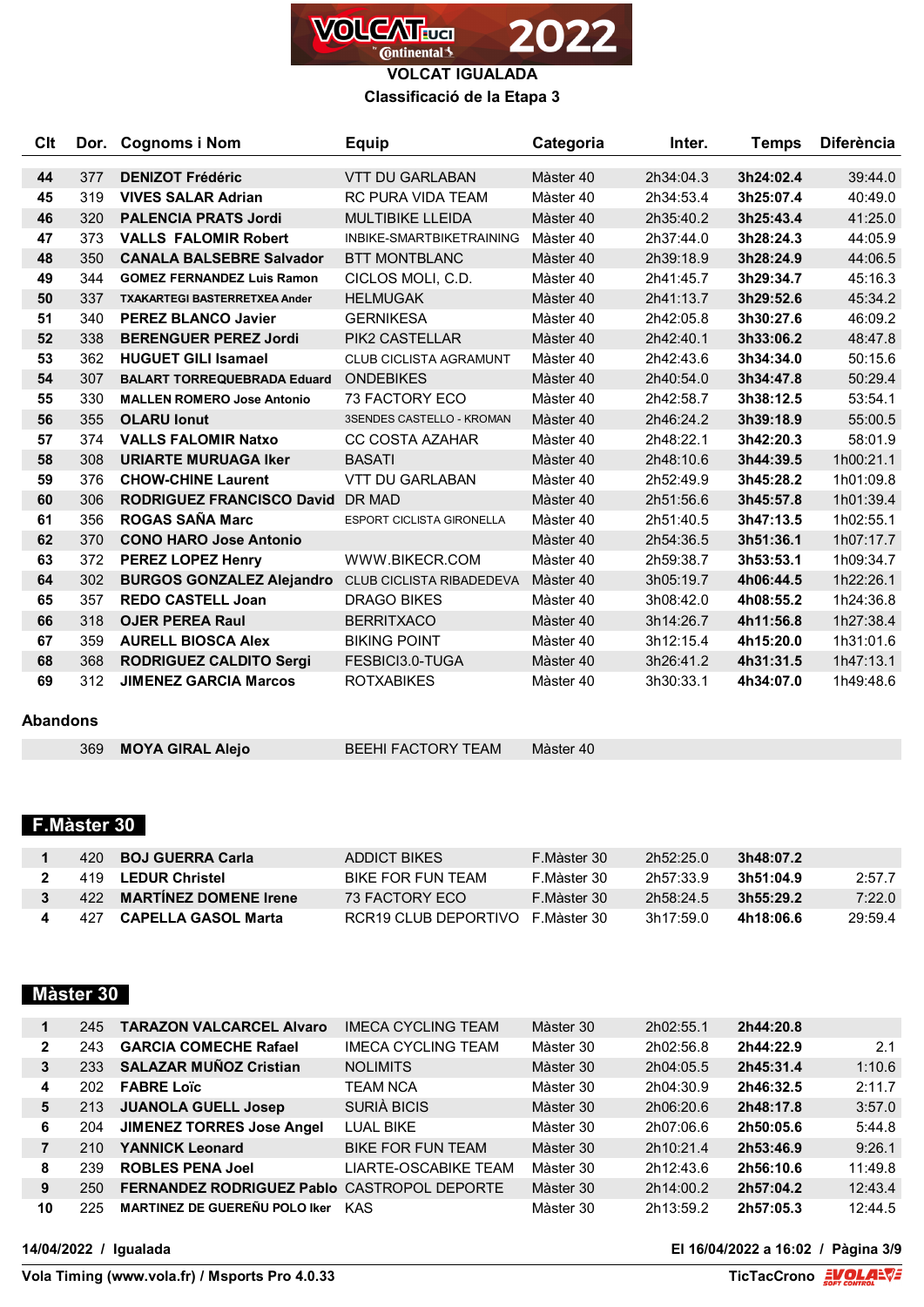

**VOLCAT IGUALADA Classificació de la Etapa 3**

| Clt |     | Dor. Cognoms i Nom                   | <b>Equip</b>                     | Categoria              | Inter.    | Temps     | <b>Diferència</b> |
|-----|-----|--------------------------------------|----------------------------------|------------------------|-----------|-----------|-------------------|
| 44  | 377 | <b>DENIZOT Frédéric</b>              | <b>VTT DU GARLABAN</b>           | Màster 40              | 2h34:04.3 | 3h24:02.4 | 39:44.0           |
| 45  | 319 | <b>VIVES SALAR Adrian</b>            | <b>RC PURA VIDA TEAM</b>         | Màster 40              | 2h34:53.4 | 3h25:07.4 | 40:49.0           |
| 46  | 320 | <b>PALENCIA PRATS Jordi</b>          | <b>MULTIBIKE LLEIDA</b>          | Màster 40              | 2h35:40.2 | 3h25:43.4 | 41:25.0           |
| 47  | 373 | <b>VALLS FALOMIR Robert</b>          | INBIKE-SMARTBIKETRAINING         | Màster 40              | 2h37:44.0 | 3h28:24.3 | 44:05.9           |
| 48  | 350 | <b>CANALA BALSEBRE Salvador</b>      | <b>BTT MONTBLANC</b>             | Màster 40              | 2h39:18.9 | 3h28:24.9 | 44:06.5           |
| 49  | 344 | <b>GOMEZ FERNANDEZ Luis Ramon</b>    | CICLOS MOLI, C.D.                | Màster 40              | 2h41:45.7 | 3h29:34.7 | 45:16.3           |
| 50  | 337 | <b>TXAKARTEGI BASTERRETXEA Ander</b> | <b>HELMUGAK</b>                  | Màster 40              | 2h41:13.7 | 3h29:52.6 | 45:34.2           |
| 51  | 340 | <b>PEREZ BLANCO Javier</b>           | <b>GERNIKESA</b>                 | Màster 40              | 2h42:05.8 | 3h30:27.6 | 46:09.2           |
| 52  | 338 | <b>BERENGUER PEREZ Jordi</b>         | <b>PIK2 CASTELLAR</b>            | Màster 40              | 2h42:40.1 | 3h33:06.2 | 48:47.8           |
| 53  | 362 | <b>HUGUET GILI Isamael</b>           | <b>CLUB CICLISTA AGRAMUNT</b>    | Màster 40              | 2h42:43.6 | 3h34:34.0 | 50:15.6           |
| 54  | 307 | <b>BALART TORREQUEBRADA Eduard</b>   | <b>ONDEBIKES</b>                 | Màster 40<br>2h40:54.0 |           | 3h34:47.8 | 50:29.4           |
| 55  | 330 | <b>MALLEN ROMERO Jose Antonio</b>    | <b>73 FACTORY ECO</b>            | Màster 40              | 2h42:58.7 | 3h38:12.5 | 53:54.1           |
| 56  | 355 | <b>OLARU lonut</b>                   | <b>3SENDES CASTELLO - KROMAN</b> | Màster 40              | 2h46:24.2 | 3h39:18.9 | 55:00.5           |
| 57  | 374 | <b>VALLS FALOMIR Natxo</b>           | <b>CC COSTA AZAHAR</b>           | Màster 40              | 2h48:22.1 | 3h42:20.3 | 58:01.9           |
| 58  | 308 | <b>URIARTE MURUAGA Iker</b>          | <b>BASATI</b>                    | Màster 40              | 2h48:10.6 | 3h44:39.5 | 1h00:21.1         |
| 59  | 376 | <b>CHOW-CHINE Laurent</b>            | <b>VTT DU GARLABAN</b>           | Màster 40              | 2h52:49.9 | 3h45:28.2 | 1h01:09.8         |
| 60  | 306 | <b>RODRIGUEZ FRANCISCO David</b>     | <b>DR MAD</b>                    | Màster 40              | 2h51:56.6 | 3h45:57.8 | 1h01:39.4         |
| 61  | 356 | <b>ROGAS SAÑA Marc</b>               | ESPORT CICLISTA GIRONELLA        | Màster 40              | 2h51:40.5 | 3h47:13.5 | 1h02:55.1         |
| 62  | 370 | <b>CONO HARO Jose Antonio</b>        |                                  | Màster 40              | 2h54:36.5 | 3h51:36.1 | 1h07:17.7         |
| 63  | 372 | <b>PEREZ LOPEZ Henry</b>             | WWW.BIKECR.COM                   | Màster 40              | 2h59:38.7 | 3h53:53.1 | 1h09:34.7         |
| 64  | 302 | <b>BURGOS GONZALEZ Alejandro</b>     | <b>CLUB CICLISTA RIBADEDEVA</b>  | Màster 40              | 3h05:19.7 | 4h06:44.5 | 1h22:26.1         |
| 65  | 357 | <b>REDO CASTELL Joan</b>             | <b>DRAGO BIKES</b>               | Màster 40              | 3h08:42.0 | 4h08:55.2 | 1h24:36.8         |
| 66  | 318 | <b>OJER PEREA Raul</b>               | <b>BERRITXACO</b>                | Màster 40              | 3h14:26.7 | 4h11:56.8 | 1h27:38.4         |
| 67  | 359 | <b>AURELL BIOSCA Alex</b>            | <b>BIKING POINT</b>              | Màster 40              | 3h12:15.4 | 4h15:20.0 | 1h31:01.6         |
| 68  | 368 | <b>RODRIGUEZ CALDITO Sergi</b>       | FESBICI3.0-TUGA                  | Màster 40              | 3h26:41.2 | 4h31:31.5 | 1h47:13.1         |
| 69  | 312 | <b>JIMENEZ GARCIA Marcos</b>         | <b>ROTXABIKES</b>                | Màster 40              | 3h30:33.1 | 4h34:07.0 | 1h49:48.6         |

## **Abandons**

**MOYA GIRAL Alejo** BEEHI FACTORY TEAM Màster 40

# **F.Màster 30**

|   | 420 BOJ GUERRA Carla      | ADDICT BIKES                      | F.Màster 30 | 2h52:25.0 | 3h48:07.2 |        |
|---|---------------------------|-----------------------------------|-------------|-----------|-----------|--------|
| 2 | 419 LEDUR Christel        | BIKE FOR FUN TEAM                 | F.Màster 30 | 2h57.33.9 | 3h51:04.9 | 2:57.7 |
|   | 422 MARTINEZ DOMENE Irene | 73 FACTORY FCO                    | F Màster 30 | 2h58.24.5 | 3h55:29.2 | 7:22.0 |
|   | 427 CAPELLA GASOL Marta   | RCR19 CLUB DEPORTIVO F. Màster 30 |             | 3h17:59.0 | 4h18:06.6 | 29.594 |

# **Màster 30**

|              | 245 | <b>TARAZON VALCARCEL Alvaro</b>                    | IMECA CYCLING TEAM          | Màster 30 | 2h02:55.1 | 2h44:20.8 |         |
|--------------|-----|----------------------------------------------------|-----------------------------|-----------|-----------|-----------|---------|
| $\mathbf{2}$ | 243 | <b>GARCIA COMECHE Rafael</b>                       | <b>IMECA CYCLING TEAM</b>   | Màster 30 | 2h02:56.8 | 2h44:22.9 | 2.1     |
| 3            | 233 | <b>SALAZAR MUÑOZ Cristian</b>                      | <b>NOLIMITS</b>             | Màster 30 | 2h04:05.5 | 2h45:31.4 | 1:10.6  |
| 4            | 202 | <b>FABRE Loïc</b>                                  | <b>TEAM NCA</b>             | Màster 30 | 2h04:30.9 | 2h46:32.5 | 2:11.7  |
| 5            | 213 | <b>JUANOLA GUELL Josep</b>                         | <b>SURIÀ BICIS</b>          | Màster 30 | 2h06:20.6 | 2h48:17.8 | 3:57.0  |
| 6            | 204 | <b>JIMENEZ TORRES Jose Angel</b>                   | <b>LUAL BIKE</b>            | Màster 30 | 2h07:06.6 | 2h50:05.6 | 5:44.8  |
|              | 210 | <b>YANNICK Leonard</b>                             | <b>BIKE FOR FUN TEAM</b>    | Màster 30 | 2h10:21.4 | 2h53:46.9 | 9:26.1  |
| 8            | 239 | <b>ROBLES PENA Joel</b>                            | <b>LIARTE-OSCABIKE TEAM</b> | Màster 30 | 2h12:43.6 | 2h56:10.6 | 11:49.8 |
| 9            | 250 | <b>FERNANDEZ RODRIGUEZ Pablo CASTROPOL DEPORTE</b> |                             | Màster 30 | 2h14:00.2 | 2h57:04.2 | 12:43.4 |
| 10           | 225 | <b>MARTINEZ DE GUEREÑU POLO Iker</b>               | <b>KAS</b>                  | Màster 30 | 2h13:59.2 | 2h57:05.3 | 12:44.5 |

**14/04/2022 / Igualada El 16/04/2022 a 16:02 / Pàgina 3/9**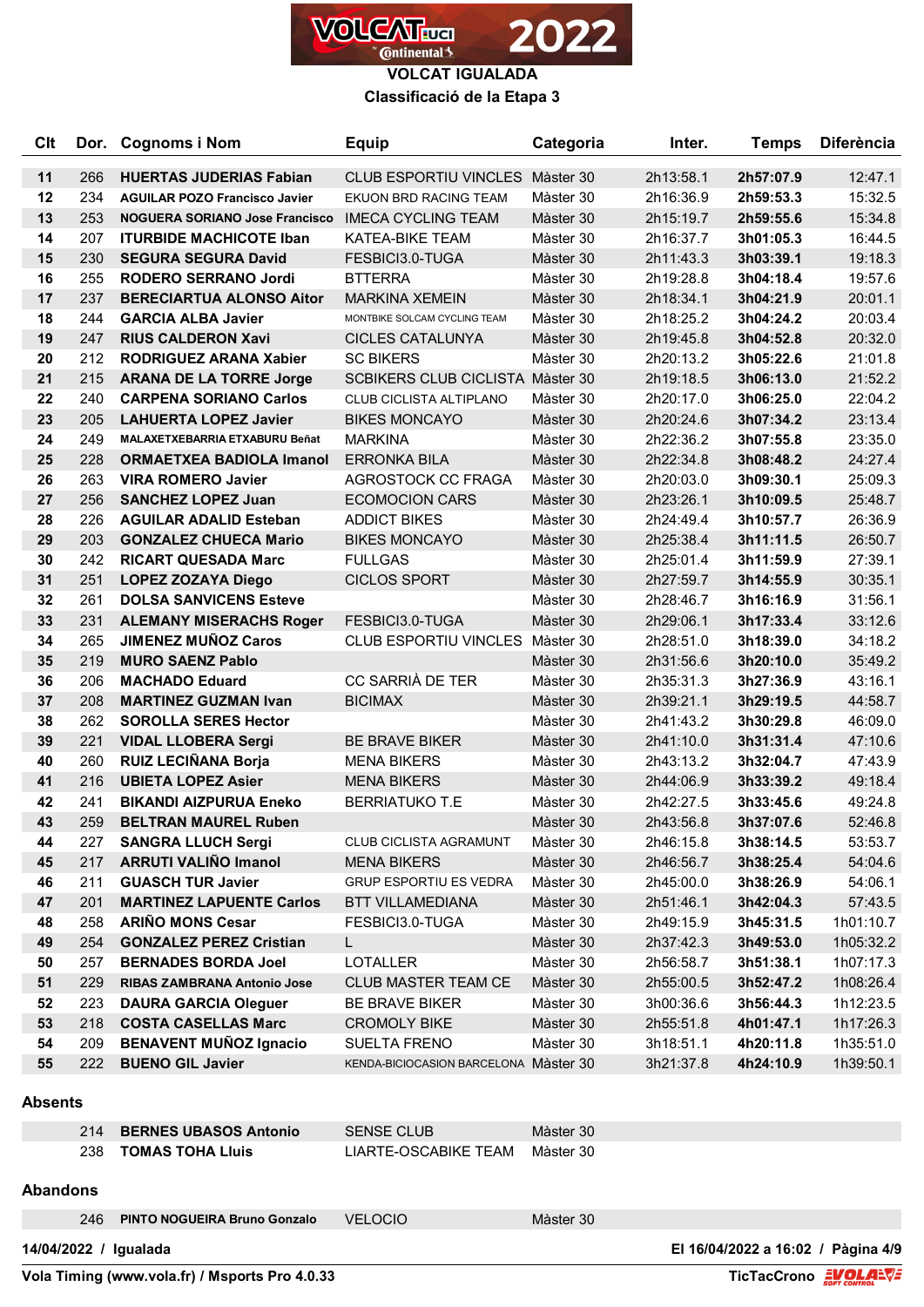

**Classificació de la Etapa 3**

| Clt |     | Dor. Cognoms i Nom                    | <b>Equip</b>                          | Categoria<br>Inter.                 |           | <b>Temps</b> | <b>Diferència</b> |
|-----|-----|---------------------------------------|---------------------------------------|-------------------------------------|-----------|--------------|-------------------|
| 11  | 266 | <b>HUERTAS JUDERIAS Fabian</b>        | CLUB ESPORTIU VINCLES Màster 30       |                                     | 2h13:58.1 | 2h57:07.9    | 12:47.1           |
| 12  | 234 | <b>AGUILAR POZO Francisco Javier</b>  | EKUON BRD RACING TEAM                 | Màster 30                           | 2h16:36.9 | 2h59:53.3    | 15:32.5           |
| 13  | 253 | <b>NOGUERA SORIANO Jose Francisco</b> | <b>IMECA CYCLING TEAM</b>             | Màster 30                           | 2h15:19.7 | 2h59:55.6    | 15:34.8           |
| 14  | 207 | <b>ITURBIDE MACHICOTE Iban</b>        | <b>KATEA-BIKE TEAM</b>                | Màster 30                           | 2h16:37.7 | 3h01:05.3    | 16:44.5           |
| 15  | 230 | <b>SEGURA SEGURA David</b>            | FESBICI3.0-TUGA                       | Màster 30<br>2h11:43.3<br>3h03:39.1 |           | 19:18.3      |                   |
| 16  | 255 | <b>RODERO SERRANO Jordi</b>           | <b>BTTERRA</b>                        | Màster 30                           | 2h19:28.8 | 3h04:18.4    | 19:57.6           |
| 17  | 237 | <b>BERECIARTUA ALONSO Aitor</b>       | <b>MARKINA XEMEIN</b>                 | Màster 30                           | 2h18:34.1 | 3h04:21.9    | 20:01.1           |
| 18  | 244 | <b>GARCIA ALBA Javier</b>             | MONTBIKE SOLCAM CYCLING TEAM          | Màster 30                           | 2h18:25.2 | 3h04:24.2    | 20:03.4           |
| 19  | 247 | <b>RIUS CALDERON Xavi</b>             | <b>CICLES CATALUNYA</b>               | Màster 30                           | 2h19:45.8 | 3h04:52.8    | 20:32.0           |
| 20  | 212 | <b>RODRIGUEZ ARANA Xabier</b>         | <b>SC BIKERS</b>                      | Màster 30                           | 2h20:13.2 | 3h05:22.6    | 21:01.8           |
| 21  | 215 | <b>ARANA DE LA TORRE Jorge</b>        | SCBIKERS CLUB CICLISTA Màster 30      |                                     | 2h19:18.5 | 3h06:13.0    | 21:52.2           |
| 22  | 240 | <b>CARPENA SORIANO Carlos</b>         | CLUB CICLISTA ALTIPLANO               | Màster 30                           | 2h20:17.0 | 3h06:25.0    | 22:04.2           |
| 23  | 205 | <b>LAHUERTA LOPEZ Javier</b>          | <b>BIKES MONCAYO</b>                  | Màster 30                           | 2h20:24.6 | 3h07:34.2    | 23:13.4           |
| 24  | 249 | MALAXETXEBARRIA ETXABURU Beñat        | <b>MARKINA</b>                        | Màster 30                           | 2h22:36.2 | 3h07:55.8    | 23:35.0           |
| 25  | 228 | <b>ORMAETXEA BADIOLA Imanol</b>       | <b>ERRONKA BILA</b>                   | Màster 30                           | 2h22:34.8 | 3h08:48.2    | 24:27.4           |
| 26  | 263 | <b>VIRA ROMERO Javier</b>             | AGROSTOCK CC FRAGA                    | Màster 30                           | 2h20:03.0 | 3h09:30.1    | 25:09.3           |
| 27  | 256 | <b>SANCHEZ LOPEZ Juan</b>             | <b>ECOMOCION CARS</b>                 | Màster 30                           | 2h23:26.1 | 3h10:09.5    | 25:48.7           |
| 28  | 226 | <b>AGUILAR ADALID Esteban</b>         | <b>ADDICT BIKES</b>                   | Màster 30<br>2h24:49.4              |           | 3h10:57.7    | 26:36.9           |
| 29  | 203 | <b>GONZALEZ CHUECA Mario</b>          | <b>BIKES MONCAYO</b>                  | Màster 30<br>2h25:38.4              |           | 3h11:11.5    | 26:50.7           |
| 30  | 242 | <b>RICART QUESADA Marc</b>            | <b>FULLGAS</b>                        | Màster 30<br>2h25:01.4              |           | 3h11:59.9    | 27:39.1           |
| 31  | 251 | <b>LOPEZ ZOZAYA Diego</b>             | <b>CICLOS SPORT</b>                   | Màster 30<br>3h14:55.9<br>2h27:59.7 |           | 30:35.1      |                   |
| 32  | 261 | <b>DOLSA SANVICENS Esteve</b>         |                                       | Màster 30<br>2h28:46.7<br>3h16:16.9 |           |              | 31:56.1           |
| 33  | 231 | <b>ALEMANY MISERACHS Roger</b>        | FESBICI3.0-TUGA                       | Màster 30                           | 2h29:06.1 | 3h17:33.4    | 33:12.6           |
| 34  | 265 | <b>JIMENEZ MUÑOZ Caros</b>            | CLUB ESPORTIU VINCLES Màster 30       |                                     | 2h28:51.0 | 3h18:39.0    | 34:18.2           |
| 35  | 219 | <b>MURO SAENZ Pablo</b>               |                                       | Màster 30                           | 2h31:56.6 | 3h20:10.0    | 35:49.2           |
| 36  | 206 | <b>MACHADO Eduard</b>                 | CC SARRIÀ DE TER                      | Màster 30                           | 2h35:31.3 | 3h27:36.9    | 43:16.1           |
| 37  | 208 | <b>MARTINEZ GUZMAN Ivan</b>           | <b>BICIMAX</b>                        | Màster 30                           | 2h39:21.1 | 3h29:19.5    | 44:58.7           |
| 38  | 262 | <b>SOROLLA SERES Hector</b>           |                                       | Màster 30                           | 2h41:43.2 | 3h30:29.8    | 46:09.0           |
| 39  | 221 | <b>VIDAL LLOBERA Sergi</b>            | <b>BE BRAVE BIKER</b>                 | Màster 30                           | 2h41:10.0 | 3h31:31.4    | 47:10.6           |
| 40  | 260 | RUIZ LECIÑANA Borja                   | <b>MENA BIKERS</b>                    | Màster 30                           | 2h43:13.2 | 3h32:04.7    | 47:43.9           |
| 41  | 216 | <b>UBIETA LOPEZ Asier</b>             | <b>MENA BIKERS</b>                    | Màster 30                           | 2h44:06.9 | 3h33:39.2    | 49:18.4           |
| 42  | 241 | <b>BIKANDI AIZPURUA Eneko</b>         | <b>BERRIATUKO T.E</b>                 | Màster 30                           | 2h42:27.5 | 3h33:45.6    | 49:24.8           |
| 43  | 259 | <b>BELTRAN MAUREL Ruben</b>           |                                       | Màster 30                           | 2h43:56.8 | 3h37:07.6    | 52:46.8           |
| 44  | 227 | <b>SANGRA LLUCH Sergi</b>             | CLUB CICLISTA AGRAMUNT                | Màster 30                           | 2h46:15.8 | 3h38:14.5    | 53:53.7           |
| 45  | 217 | <b>ARRUTI VALIÑO Imanol</b>           | <b>MENA BIKERS</b>                    | Màster 30                           | 2h46:56.7 | 3h38:25.4    | 54:04.6           |
| 46  | 211 | <b>GUASCH TUR Javier</b>              | <b>GRUP ESPORTIU ES VEDRA</b>         | Màster 30                           | 2h45:00.0 | 3h38:26.9    | 54:06.1           |
| 47  | 201 | <b>MARTINEZ LAPUENTE Carlos</b>       | <b>BTT VILLAMEDIANA</b>               | Màster 30                           | 2h51:46.1 | 3h42:04.3    | 57:43.5           |
| 48  | 258 | <b>ARIÑO MONS Cesar</b>               | FESBICI3.0-TUGA                       | Màster 30                           | 2h49:15.9 | 3h45:31.5    | 1h01:10.7         |
| 49  | 254 | <b>GONZALEZ PEREZ Cristian</b>        | L.                                    | Màster 30                           | 2h37:42.3 | 3h49:53.0    | 1h05:32.2         |
| 50  | 257 | <b>BERNADES BORDA Joel</b>            | LOTALLER                              | Màster 30                           | 2h56:58.7 | 3h51:38.1    | 1h07:17.3         |
| 51  | 229 | RIBAS ZAMBRANA Antonio Jose           | CLUB MASTER TEAM CE                   | Màster 30                           | 2h55:00.5 | 3h52:47.2    | 1h08:26.4         |
| 52  | 223 | <b>DAURA GARCIA Oleguer</b>           | <b>BE BRAVE BIKER</b>                 | Màster 30                           | 3h00:36.6 | 3h56:44.3    | 1h12:23.5         |
| 53  | 218 | <b>COSTA CASELLAS Marc</b>            | <b>CROMOLY BIKE</b>                   | Màster 30                           | 2h55:51.8 | 4h01:47.1    | 1h17:26.3         |
| 54  | 209 | <b>BENAVENT MUÑOZ Ignacio</b>         | <b>SUELTA FRENO</b>                   | Màster 30                           | 3h18:51.1 | 4h20:11.8    | 1h35:51.0         |
| 55  | 222 | <b>BUENO GIL Javier</b>               | KENDA-BICIOCASION BARCELONA Màster 30 |                                     | 3h21:37.8 | 4h24:10.9    | 1h39:50.1         |

#### **Absents**

|     | 214 BERNES UBASOS Antonio | <b>SENSE CLUB</b>    | Màster 30 |
|-----|---------------------------|----------------------|-----------|
| 238 | TOMAS TOHA Lluis          | LIARTE-OSCABIKE TEAM | Màster 30 |

### **Abandons**

| 246                   | <b>PINTO NOGUEIRA Bruno Gonzalo</b>            | <b>VELOCIO</b> | Màster 30            |                                    |
|-----------------------|------------------------------------------------|----------------|----------------------|------------------------------------|
| 14/04/2022 / Igualada |                                                |                |                      | El 16/04/2022 a 16:02 / Pàgina 4/9 |
|                       | Vola Timing (www.vola.fr) / Msports Pro 4.0.33 |                | TicTacCrono EVOLA=V= |                                    |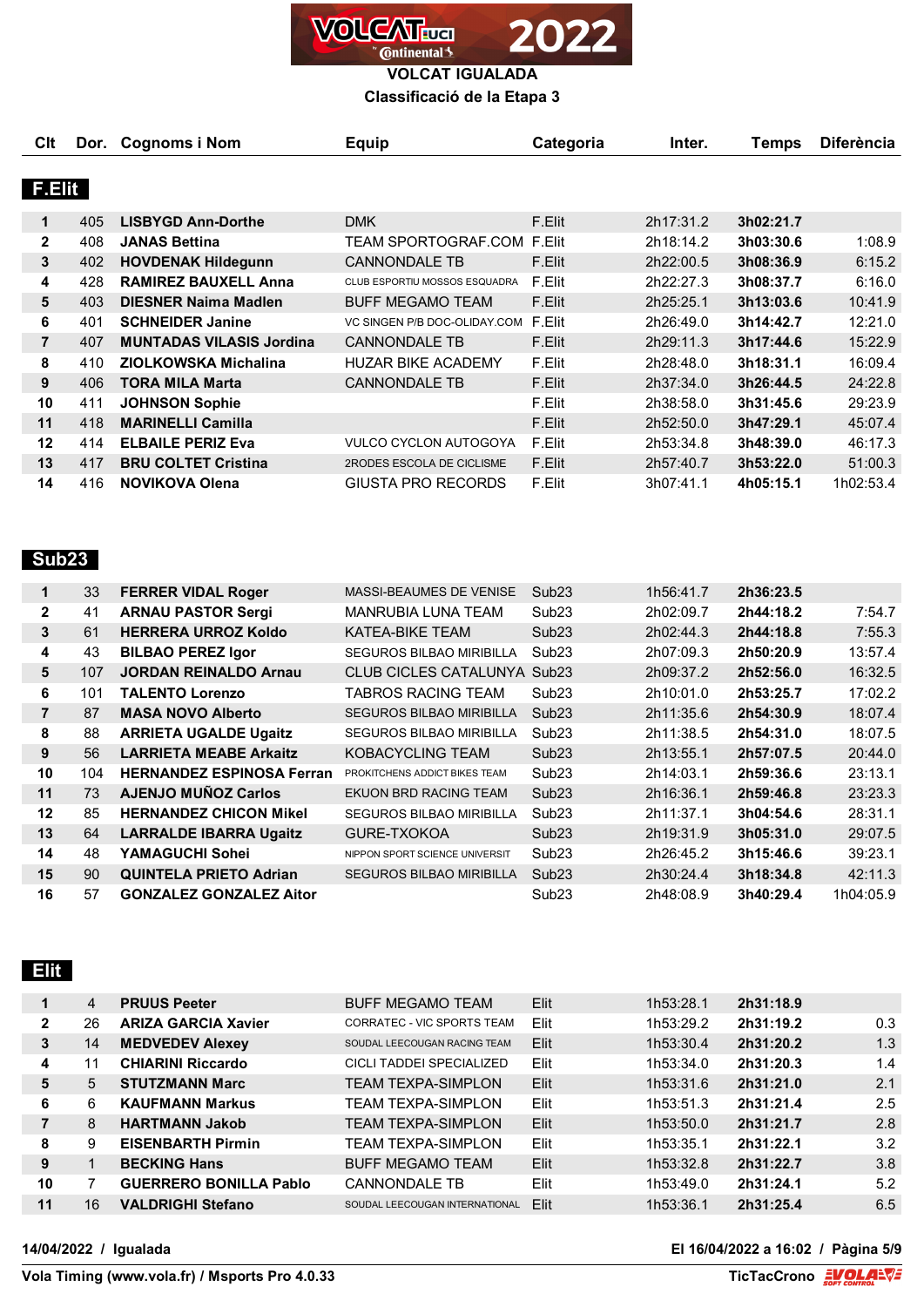

**Classificació de la Etapa 3**

| <b>C</b> It    |     | Dor. Cognoms i Nom              | <b>Equip</b>                  | Categoria | Inter.    | Temps     | <b>Diferència</b> |
|----------------|-----|---------------------------------|-------------------------------|-----------|-----------|-----------|-------------------|
|                |     |                                 |                               |           |           |           |                   |
| <b>F.Elit</b>  |     |                                 |                               |           |           |           |                   |
| 1              | 405 | <b>LISBYGD Ann-Dorthe</b>       | <b>DMK</b>                    | F.Elit    | 2h17:31.2 | 3h02:21.7 |                   |
| $\mathbf{2}$   | 408 | <b>JANAS Bettina</b>            | TEAM SPORTOGRAF.COM           | F.Elit    | 2h18:14.2 | 3h03:30.6 | 1:08.9            |
| 3              | 402 | <b>HOVDENAK Hildegunn</b>       | <b>CANNONDALE TB</b>          | F.Elit    | 2h22:00.5 | 3h08:36.9 | 6:15.2            |
| 4              | 428 | <b>RAMIREZ BAUXELL Anna</b>     | CLUB ESPORTIU MOSSOS ESQUADRA | F.Elit    | 2h22:27.3 | 3h08:37.7 | 6:16.0            |
| 5              | 403 | <b>DIESNER Naima Madlen</b>     | <b>BUFF MEGAMO TEAM</b>       | F.Elit    | 2h25:25.1 | 3h13:03.6 | 10:41.9           |
| 6              | 401 | <b>SCHNEIDER Janine</b>         | VC SINGEN P/B DOC-OLIDAY.COM  | F.Elit    | 2h26:49.0 | 3h14:42.7 | 12:21.0           |
| $\overline{7}$ | 407 | <b>MUNTADAS VILASIS Jordina</b> | <b>CANNONDALE TB</b>          | F.Elit    | 2h29:11.3 | 3h17:44.6 | 15:22.9           |
| 8              | 410 | ZIOLKOWSKA Michalina            | <b>HUZAR BIKE ACADEMY</b>     | F.Elit    | 2h28:48.0 | 3h18:31.1 | 16:09.4           |
| 9              | 406 | <b>TORA MILA Marta</b>          | <b>CANNONDALE TB</b>          | F.Elit    | 2h37:34.0 | 3h26:44.5 | 24:22.8           |
| 10             | 411 | <b>JOHNSON Sophie</b>           |                               | F.Elit    | 2h38:58.0 | 3h31:45.6 | 29:23.9           |
| 11             | 418 | <b>MARINELLI Camilla</b>        |                               | F.Elit    | 2h52:50.0 | 3h47:29.1 | 45:07.4           |
| 12             | 414 | <b>ELBAILE PERIZ Eva</b>        | <b>VULCO CYCLON AUTOGOYA</b>  | F.Elit    | 2h53:34.8 | 3h48:39.0 | 46:17.3           |
| 13             | 417 | <b>BRU COLTET Cristina</b>      | 2RODES ESCOLA DE CICLISME     | F.Elit    | 2h57:40.7 | 3h53:22.0 | 51:00.3           |
| 14             | 416 | <b>NOVIKOVA Olena</b>           | GIUSTA PRO RECORDS            | F.Elit    | 3h07:41.1 | 4h05:15.1 | 1h02:53.4         |

# **Sub23**

| 1              | 33  | <b>FERRER VIDAL Roger</b>        | <b>MASSI-BEAUMES DE VENISE</b>     | Sub <sub>23</sub> | 1h56:41.7 | 2h36:23.5 |           |
|----------------|-----|----------------------------------|------------------------------------|-------------------|-----------|-----------|-----------|
| $\mathbf{2}$   | 41  | <b>ARNAU PASTOR Sergi</b>        | MANRUBIA LUNA TEAM                 | Sub <sub>23</sub> | 2h02:09.7 | 2h44:18.2 | 7:54.7    |
| 3              | 61  | <b>HERRERA URROZ Koldo</b>       | KATEA-BIKE TEAM                    | Sub <sub>23</sub> | 2h02:44.3 | 2h44:18.8 | 7:55.3    |
| 4              | 43  | <b>BILBAO PEREZ Igor</b>         | <b>SEGUROS BILBAO MIRIBILLA</b>    | Sub <sub>23</sub> | 2h07:09.3 | 2h50:20.9 | 13:57.4   |
| 5              | 107 | <b>JORDAN REINALDO Arnau</b>     | <b>CLUB CICLES CATALUNYA Sub23</b> |                   | 2h09:37.2 | 2h52:56.0 | 16:32.5   |
| 6              | 101 | <b>TALENTO Lorenzo</b>           | TABROS RACING TEAM                 | Sub <sub>23</sub> | 2h10:01.0 | 2h53:25.7 | 17:02.2   |
| $\overline{7}$ | 87  | <b>MASA NOVO Alberto</b>         | <b>SEGUROS BILBAO MIRIBILLA</b>    | Sub23             | 2h11:35.6 | 2h54:30.9 | 18:07.4   |
| 8              | 88  | <b>ARRIETA UGALDE Ugaitz</b>     | <b>SEGUROS BILBAO MIRIBILLA</b>    | Sub <sub>23</sub> | 2h11:38.5 | 2h54:31.0 | 18:07.5   |
| 9              | 56  | <b>LARRIETA MEABE Arkaitz</b>    | KOBACYCLING TEAM                   | Sub <sub>23</sub> | 2h13:55.1 | 2h57:07.5 | 20:44.0   |
| 10             | 104 | <b>HERNANDEZ ESPINOSA Ferran</b> | PROKITCHENS ADDICT BIKES TEAM      | Sub <sub>23</sub> | 2h14:03.1 | 2h59:36.6 | 23:13.1   |
| 11             | 73  | <b>AJENJO MUÑOZ Carlos</b>       | EKUON BRD RACING TEAM              | Sub23             | 2h16:36.1 | 2h59:46.8 | 23:23.3   |
| 12             | 85  | <b>HERNANDEZ CHICON Mikel</b>    | <b>SEGUROS BILBAO MIRIBILLA</b>    | Sub <sub>23</sub> | 2h11:37.1 | 3h04:54.6 | 28:31.1   |
| 13             | 64  | <b>LARRALDE IBARRA Ugaitz</b>    | GURE-TXOKOA                        | Sub <sub>23</sub> | 2h19:31.9 | 3h05:31.0 | 29:07.5   |
| 14             | 48  | YAMAGUCHI Sohei                  | NIPPON SPORT SCIENCE UNIVERSIT     | Sub <sub>23</sub> | 2h26:45.2 | 3h15:46.6 | 39:23.1   |
| 15             | 90  | <b>QUINTELA PRIETO Adrian</b>    | <b>SEGUROS BILBAO MIRIBILLA</b>    | Sub <sub>23</sub> | 2h30:24.4 | 3h18:34.8 | 42:11.3   |
| 16             | 57  | <b>GONZALEZ GONZALEZ Aitor</b>   |                                    | Sub <sub>23</sub> | 2h48:08.9 | 3h40:29.4 | 1h04:05.9 |

|    | $\overline{4}$ | <b>PRUUS Peeter</b>           | <b>BUFF MEGAMO TEAM</b>        | Elit | 1h53:28.1 | 2h31:18.9 |     |
|----|----------------|-------------------------------|--------------------------------|------|-----------|-----------|-----|
| 2  | 26             | <b>ARIZA GARCIA Xavier</b>    | CORRATEC - VIC SPORTS TEAM     | Elit | 1h53:29.2 | 2h31:19.2 | 0.3 |
| 3  | 14             | <b>MEDVEDEV Alexey</b>        | SOUDAL LEECOUGAN RACING TEAM   | Elit | 1h53:30.4 | 2h31:20.2 | 1.3 |
| 4  | 11             | <b>CHIARINI Riccardo</b>      | CICLI TADDEI SPECIALIZED       | Elit | 1h53:34.0 | 2h31:20.3 | 1.4 |
| 5  | 5              | <b>STUTZMANN Marc</b>         | <b>TEAM TEXPA-SIMPLON</b>      | Elit | 1h53:31.6 | 2h31:21.0 | 2.1 |
| 6  | 6              | <b>KAUFMANN Markus</b>        | <b>TEAM TEXPA-SIMPLON</b>      | Elit | 1h53:51.3 | 2h31:21.4 | 2.5 |
|    | 8              | <b>HARTMANN Jakob</b>         | <b>TEAM TEXPA-SIMPLON</b>      | Elit | 1h53:50.0 | 2h31:21.7 | 2.8 |
| 8  | 9              | <b>EISENBARTH Pirmin</b>      | TFAM TFXPA-SIMPI ON            | Elit | 1h53:35.1 | 2h31:22.1 | 3.2 |
| 9  |                | <b>BECKING Hans</b>           | <b>BUFF MEGAMO TEAM</b>        | Elit | 1h53:32.8 | 2h31:22.7 | 3.8 |
| 10 |                | <b>GUERRERO BONILLA Pablo</b> | <b>CANNONDALE TB</b>           | Elit | 1h53:49.0 | 2h31:24.1 | 5.2 |
| 11 | 16             | <b>VALDRIGHI Stefano</b>      | SOUDAL LEECOUGAN INTERNATIONAL | Elit | 1h53:36.1 | 2h31:25.4 | 6.5 |

**14/04/2022 / Igualada El 16/04/2022 a 16:02 / Pàgina 5/9**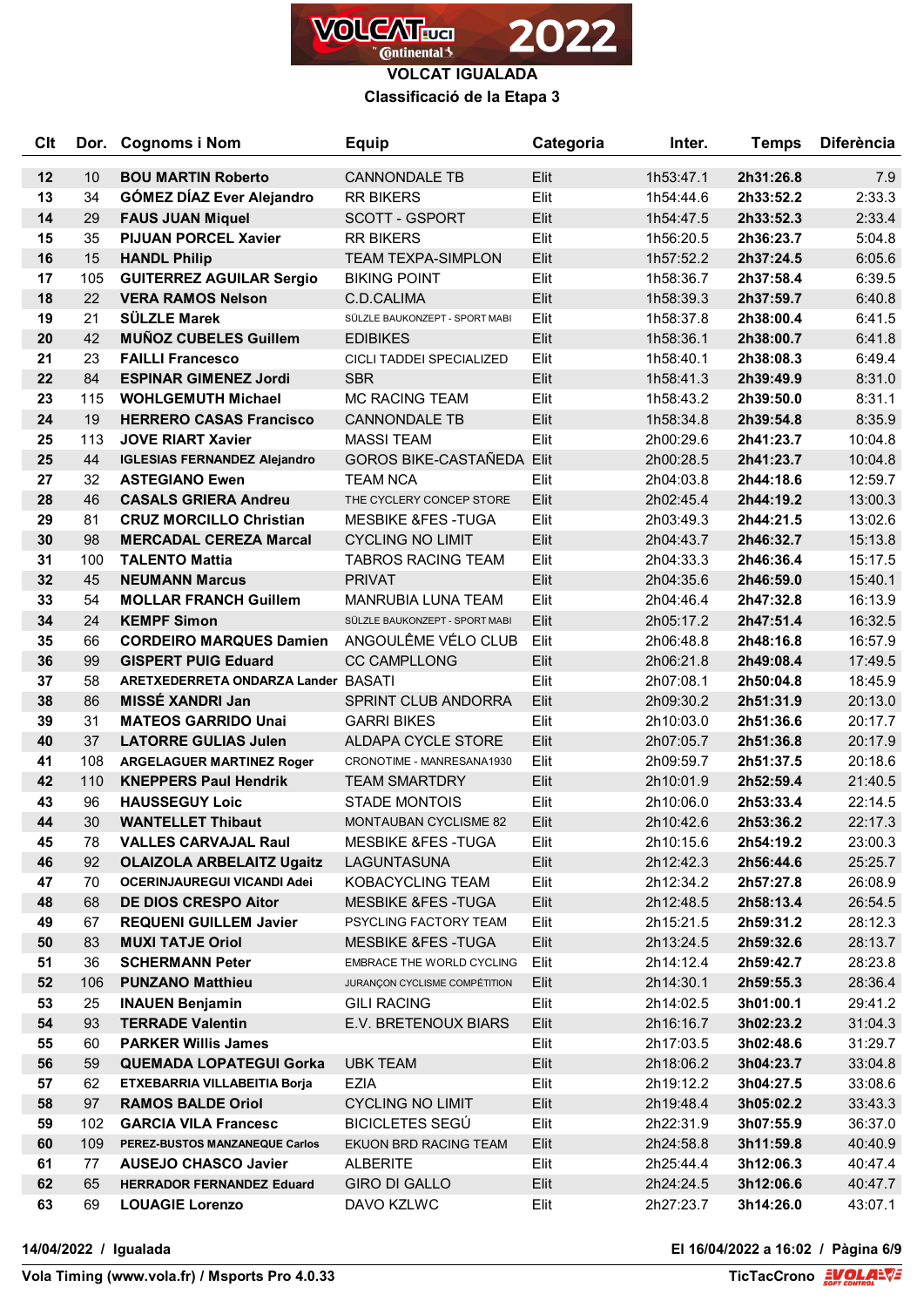

**Classificació de la Etapa 3**

| <b>Clt</b> | Dor.      | <b>Cognoms i Nom</b>                                           | <b>Equip</b>                               | Categoria    | Inter.                 | <b>Temps</b>           | <b>Diferència</b>  |
|------------|-----------|----------------------------------------------------------------|--------------------------------------------|--------------|------------------------|------------------------|--------------------|
| 12         | 10        | <b>BOU MARTIN Roberto</b>                                      | <b>CANNONDALE TB</b>                       | Elit         | 1h53:47.1              | 2h31:26.8              | 7.9                |
| 13         | 34        | <b>GÓMEZ DÍAZ Ever Alejandro</b>                               | <b>RR BIKERS</b>                           | Elit         | 1h54:44.6              | 2h33:52.2              | 2:33.3             |
| 14         | 29        | <b>FAUS JUAN Miquel</b>                                        | <b>SCOTT - GSPORT</b>                      | Elit         | 1h54:47.5              | 2h33:52.3              | 2:33.4             |
| 15         | 35        | <b>PIJUAN PORCEL Xavier</b>                                    | <b>RR BIKERS</b>                           | Elit         | 1h56:20.5              | 2h36:23.7              | 5:04.8             |
| 16         | 15        | <b>HANDL Philip</b>                                            | <b>TEAM TEXPA-SIMPLON</b>                  | Elit         | 1h57:52.2              | 2h37:24.5              | 6:05.6             |
| 17         | 105       | <b>GUITERREZ AGUILAR Sergio</b>                                | <b>BIKING POINT</b>                        | Elit         | 1h58:36.7              | 2h37:58.4              | 6:39.5             |
| 18         | 22        | <b>VERA RAMOS Nelson</b>                                       | C.D.CALIMA                                 | Elit         | 1h58:39.3              | 2h37:59.7              | 6:40.8             |
| 19         | 21        | <b>SÜLZLE Marek</b>                                            | SÜLZLE BAUKONZEPT - SPORT MABI             | Elit         | 1h58:37.8              | 2h38:00.4              | 6:41.5             |
| 20         | 42        | <b>MUÑOZ CUBELES Guillem</b>                                   | <b>EDIBIKES</b>                            | Elit         | 1h58:36.1              | 2h38:00.7              | 6:41.8             |
| 21         | 23        | <b>FAILLI Francesco</b>                                        | CICLI TADDEI SPECIALIZED                   | Elit         | 1h58:40.1              | 2h38:08.3              | 6:49.4             |
| 22         | 84        | <b>ESPINAR GIMENEZ Jordi</b>                                   | <b>SBR</b>                                 | Elit         | 1h58:41.3              | 2h39:49.9              | 8:31.0             |
| 23         | 115       | <b>WOHLGEMUTH Michael</b>                                      | <b>MC RACING TEAM</b>                      | Elit         | 1h58:43.2              | 2h39:50.0              | 8:31.1             |
| 24         | 19        | <b>HERRERO CASAS Francisco</b>                                 | <b>CANNONDALE TB</b>                       | Elit         | 1h58:34.8              | 2h39:54.8              | 8:35.9             |
| 25         | 113       | <b>JOVE RIART Xavier</b>                                       | <b>MASSI TEAM</b>                          | Elit         | 2h00:29.6              | 2h41:23.7              | 10:04.8            |
| 25         | 44        | <b>IGLESIAS FERNANDEZ Alejandro</b>                            | <b>GOROS BIKE-CASTAÑEDA Elit</b>           |              | 2h00:28.5              | 2h41:23.7              | 10:04.8            |
| 27         | 32        | <b>ASTEGIANO Ewen</b>                                          | <b>TEAM NCA</b>                            | Elit         | 2h04:03.8              | 2h44:18.6              | 12:59.7            |
| 28         | 46        | <b>CASALS GRIERA Andreu</b>                                    | THE CYCLERY CONCEP STORE                   | Elit         | 2h02:45.4              | 2h44:19.2              | 13:00.3            |
| 29         | 81        | <b>CRUZ MORCILLO Christian</b>                                 | <b>MESBIKE &amp;FES-TUGA</b>               | Elit         | 2h03:49.3              | 2h44:21.5              | 13:02.6            |
| 30         | 98        | <b>MERCADAL CEREZA Marcal</b>                                  | <b>CYCLING NO LIMIT</b>                    | Elit         | 2h04:43.7              | 2h46:32.7              | 15:13.8            |
| 31         | 100       | <b>TALENTO Mattia</b>                                          | <b>TABROS RACING TEAM</b>                  | Elit         | 2h04:33.3              | 2h46:36.4              | 15:17.5            |
| 32         | 45        | <b>NEUMANN Marcus</b>                                          | <b>PRIVAT</b>                              | Elit         | 2h04:35.6              | 2h46:59.0              | 15:40.1            |
| 33         | 54        | <b>MOLLAR FRANCH Guillem</b>                                   | <b>MANRUBIA LUNA TEAM</b>                  | Elit         | 2h04:46.4              | 2h47:32.8              | 16:13.9            |
| 34         | 24        | <b>KEMPF Simon</b>                                             | SÜLZLE BAUKONZEPT - SPORT MABI             | Elit         | 2h05:17.2              | 2h47:51.4              | 16:32.5            |
| 35         | 66        | <b>CORDEIRO MARQUES Damien</b>                                 | ANGOULÊME VÉLO CLUB                        | Elit         | 2h06:48.8              | 2h48:16.8              | 16:57.9            |
| 36         | 99        | <b>GISPERT PUIG Eduard</b>                                     | <b>CC CAMPLLONG</b>                        | Elit         | 2h06:21.8              | 2h49:08.4              | 17:49.5            |
| 37         | 58        | ARETXEDERRETA ONDARZA Lander BASATI                            |                                            | Elit         | 2h07:08.1              | 2h50:04.8              | 18:45.9            |
| 38         | 86        | <b>MISSÉ XANDRI Jan</b>                                        | SPRINT CLUB ANDORRA                        | Elit         | 2h09:30.2              | 2h51:31.9              | 20:13.0            |
| 39         | 31        | <b>MATEOS GARRIDO Unai</b>                                     | <b>GARRI BIKES</b>                         | Elit         | 2h10:03.0              | 2h51:36.6              | 20:17.7            |
| 40         | 37        | <b>LATORRE GULIAS Julen</b>                                    | <b>ALDAPA CYCLE STORE</b>                  | Elit         | 2h07:05.7              | 2h51:36.8              | 20:17.9            |
| 41         | 108       | <b>ARGELAGUER MARTINEZ Roger</b>                               | CRONOTIME - MANRESANA1930                  | Elit         | 2h09:59.7              | 2h51:37.5              | 20:18.6            |
| 42         | 110       | <b>KNEPPERS Paul Hendrik</b>                                   | <b>TEAM SMARTDRY</b>                       | Elit         | 2h10:01.9              | 2h52:59.4              | 21:40.5            |
| 43         | 96        | <b>HAUSSEGUY Loic</b>                                          | <b>STADE MONTOIS</b>                       | Elit         | 2h10:06.0              | 2h53:33.4              | 22:14.5            |
| 44         | 30        | <b>WANTELLET Thibaut</b>                                       | <b>MONTAUBAN CYCLISME 82</b>               | Elit         | 2h10:42.6              | 2h53:36.2              | 22:17.3            |
| 45         | 78        | <b>VALLES CARVAJAL Raul</b>                                    | <b>MESBIKE &amp;FES-TUGA</b>               | Elit         | 2h10:15.6              | 2h54:19.2              | 23:00.3            |
| 46         | 92        | <b>OLAIZOLA ARBELAITZ Ugaitz</b>                               | LAGUNTASUNA                                | Elit         | 2h12:42.3              | 2h56:44.6              | 25:25.7            |
| 47         | 70        | <b>OCERINJAUREGUI VICANDI Adei</b>                             | KOBACYCLING TEAM                           | Elit         | 2h12:34.2              | 2h57:27.8              | 26:08.9            |
| 48         | 68        | <b>DE DIOS CRESPO Aitor</b>                                    | <b>MESBIKE &amp;FES-TUGA</b>               | Elit         | 2h12:48.5              | 2h58:13.4              | 26:54.5            |
| 49         | 67        | <b>REQUENI GUILLEM Javier</b>                                  | PSYCLING FACTORY TEAM                      | Elit         | 2h15:21.5              | 2h59:31.2              | 28:12.3            |
| 50         | 83        | <b>MUXI TATJE Oriol</b>                                        | <b>MESBIKE &amp;FES-TUGA</b>               | Elit         | 2h13:24.5              | 2h59:32.6              | 28:13.7            |
| 51         | 36        | <b>SCHERMANN Peter</b>                                         | EMBRACE THE WORLD CYCLING                  | Elit         | 2h14:12.4              | 2h59:42.7              | 28:23.8            |
| 52<br>53   | 106<br>25 | <b>PUNZANO Matthieu</b><br><b>INAUEN Benjamin</b>              | JURANÇON CYCLISME COMPÉTITION              | Elit<br>Elit | 2h14:30.1              | 2h59:55.3              | 28:36.4<br>29:41.2 |
| 54         | 93        | <b>TERRADE Valentin</b>                                        | <b>GILI RACING</b><br>E.V. BRETENOUX BIARS |              | 2h14:02.5              | 3h01:00.1              | 31:04.3            |
| 55         | 60        | <b>PARKER Willis James</b>                                     |                                            | Elit<br>Elit | 2h16:16.7              | 3h02:23.2<br>3h02:48.6 | 31:29.7            |
| 56         | 59        |                                                                |                                            | Elit         | 2h17:03.5              |                        |                    |
| 57         | 62        | <b>QUEMADA LOPATEGUI Gorka</b><br>ETXEBARRIA VILLABEITIA Borja | <b>UBK TEAM</b><br><b>EZIA</b>             | Elit         | 2h18:06.2<br>2h19:12.2 | 3h04:23.7<br>3h04:27.5 | 33:04.8<br>33:08.6 |
| 58         | 97        | <b>RAMOS BALDE Oriol</b>                                       | <b>CYCLING NO LIMIT</b>                    | Elit         | 2h19:48.4              | 3h05:02.2              | 33:43.3            |
| 59         | 102       | <b>GARCIA VILA Francesc</b>                                    | <b>BICICLETES SEGÚ</b>                     | Elit         | 2h22:31.9              | 3h07:55.9              | 36:37.0            |
| 60         | 109       | PEREZ-BUSTOS MANZANEQUE Carlos                                 | EKUON BRD RACING TEAM                      | Elit         | 2h24:58.8              | 3h11:59.8              | 40:40.9            |
| 61         | 77        | <b>AUSEJO CHASCO Javier</b>                                    | <b>ALBERITE</b>                            | Elit         | 2h25:44.4              | 3h12:06.3              | 40:47.4            |
| 62         | 65        | <b>HERRADOR FERNANDEZ Eduard</b>                               | <b>GIRO DI GALLO</b>                       | Elit         | 2h24:24.5              | 3h12:06.6              | 40:47.7            |
| 63         | 69        | <b>LOUAGIE Lorenzo</b>                                         | DAVO KZLWC                                 | Elit         | 2h27:23.7              | 3h14:26.0              | 43:07.1            |
|            |           |                                                                |                                            |              |                        |                        |                    |

**14/04/2022 / Igualada El 16/04/2022 a 16:02 / Pàgina 6/9**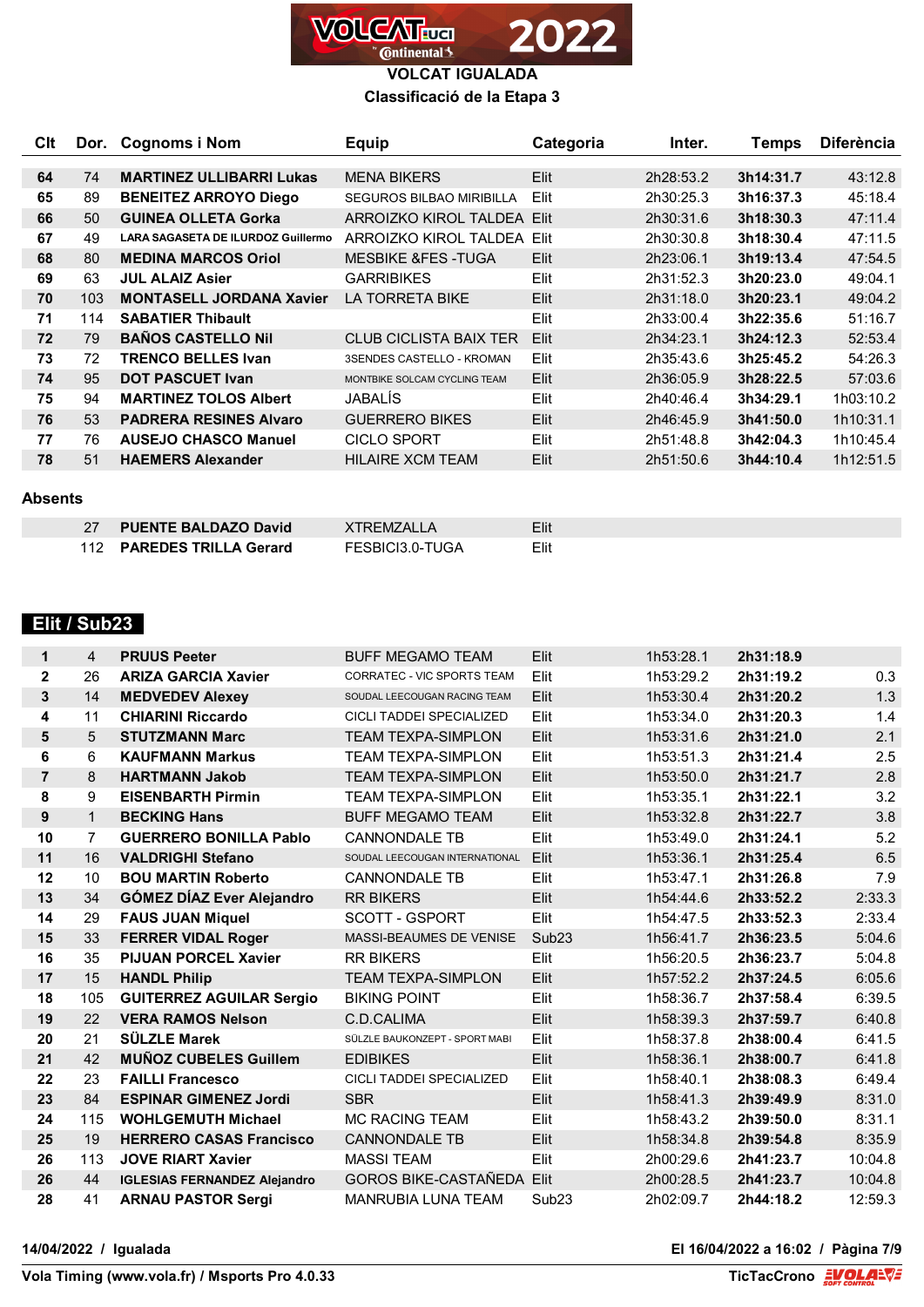

# **Classificació de la Etapa 3**

| Clt |     | Dor. Cognoms i Nom                        | Equip                           | Categoria | Inter.    | Temps     | <b>Diferència</b> |
|-----|-----|-------------------------------------------|---------------------------------|-----------|-----------|-----------|-------------------|
|     |     |                                           |                                 |           |           |           |                   |
| 64  | 74  | <b>MARTINEZ ULLIBARRI Lukas</b>           | <b>MENA BIKERS</b>              | Elit      | 2h28:53.2 | 3h14:31.7 | 43:12.8           |
| 65  | 89  | <b>BENEITEZ ARROYO Diego</b>              | <b>SEGUROS BILBAO MIRIBILLA</b> | Elit      | 2h30:25.3 | 3h16:37.3 | 45:18.4           |
| 66  | 50  | <b>GUINEA OLLETA Gorka</b>                | ARROIZKO KIROL TALDEA Elit      |           | 2h30:31.6 | 3h18:30.3 | 47:11.4           |
| 67  | 49  | <b>LARA SAGASETA DE ILURDOZ Guillermo</b> | ARROIZKO KIROL TALDEA Elit      |           | 2h30:30.8 | 3h18:30.4 | 47:11.5           |
| 68  | 80  | <b>MEDINA MARCOS Oriol</b>                | <b>MESBIKE &amp;FES-TUGA</b>    | Elit      | 2h23:06.1 | 3h19:13.4 | 47:54.5           |
| 69  | 63  | <b>JUL ALAIZ Asier</b>                    | <b>GARRIBIKES</b>               | Elit      | 2h31:52.3 | 3h20:23.0 | 49:04.1           |
| 70  | 103 | <b>MONTASELL JORDANA Xavier</b>           | <b>LA TORRETA BIKE</b>          | Elit      | 2h31:18.0 | 3h20:23.1 | 49:04.2           |
| 71  | 114 | <b>SABATIER Thibault</b>                  |                                 | Elit      | 2h33:00.4 | 3h22:35.6 | 51:16.7           |
| 72  | 79  | <b>BAÑOS CASTELLO Nil</b>                 | <b>CLUB CICLISTA BAIX TER</b>   | Elit      | 2h34:23.1 | 3h24:12.3 | 52:53.4           |
| 73  | 72  | <b>TRENCO BELLES Ivan</b>                 | 3SENDES CASTELLO - KROMAN       | Elit      | 2h35:43.6 | 3h25:45.2 | 54:26.3           |
| 74  | 95  | <b>DOT PASCUET Ivan</b>                   | MONTBIKE SOLCAM CYCLING TEAM    | Elit      | 2h36:05.9 | 3h28:22.5 | 57:03.6           |
| 75  | 94  | <b>MARTINEZ TOLOS Albert</b>              | JABALÍS                         | Elit      | 2h40:46.4 | 3h34:29.1 | 1h03:10.2         |
| 76  | 53  | <b>PADRERA RESINES Alvaro</b>             | <b>GUERRERO BIKES</b>           | Elit      | 2h46:45.9 | 3h41:50.0 | 1h10:31.1         |
| 77  | 76  | <b>AUSEJO CHASCO Manuel</b>               | <b>CICLO SPORT</b>              | Elit      | 2h51:48.8 | 3h42:04.3 | 1h10:45.4         |
| 78  | 51  | <b>HAEMERS Alexander</b>                  | <b>HILAIRE XCM TEAM</b>         | Elit      | 2h51:50.6 | 3h44:10.4 | 1h12:51.5         |

#### **Absents**

| <b>PUENTE BALDAZO David</b> | XTRFMZALLA      | Elit |
|-----------------------------|-----------------|------|
| 112 PAREDES TRILLA Gerard   | FESBICI3.0-TUGA | Elit |

# **Elit / Sub23**

| $\mathbf{1}$   | 4              | <b>PRUUS Peeter</b>                 | <b>BUFF MEGAMO TEAM</b>           | Elit              | 1h53:28.1 | 2h31:18.9 |         |
|----------------|----------------|-------------------------------------|-----------------------------------|-------------------|-----------|-----------|---------|
| $\overline{2}$ | 26             | <b>ARIZA GARCIA Xavier</b>          | <b>CORRATEC - VIC SPORTS TEAM</b> | Elit              | 1h53:29.2 | 2h31:19.2 | 0.3     |
| 3              | 14             | <b>MEDVEDEV Alexey</b>              | SOUDAL LEECOUGAN RACING TEAM      | Elit              | 1h53:30.4 | 2h31:20.2 | 1.3     |
| 4              | 11             | <b>CHIARINI Riccardo</b>            | CICLI TADDEI SPECIALIZED          | Elit              | 1h53:34.0 | 2h31:20.3 | 1.4     |
| 5              | 5              | <b>STUTZMANN Marc</b>               | <b>TEAM TEXPA-SIMPLON</b>         | Elit              | 1h53:31.6 | 2h31:21.0 | 2.1     |
| 6              | 6              | <b>KAUFMANN Markus</b>              | <b>TEAM TEXPA-SIMPLON</b>         | Elit              | 1h53:51.3 | 2h31:21.4 | 2.5     |
| $\overline{7}$ | 8              | <b>HARTMANN Jakob</b>               | <b>TEAM TEXPA-SIMPLON</b>         | Elit              | 1h53:50.0 | 2h31:21.7 | 2.8     |
| 8              | 9              | <b>EISENBARTH Pirmin</b>            | <b>TEAM TEXPA-SIMPLON</b>         | Elit              | 1h53:35.1 | 2h31:22.1 | 3.2     |
| 9              | $\mathbf{1}$   | <b>BECKING Hans</b>                 | <b>BUFF MEGAMO TEAM</b>           | Elit              | 1h53:32.8 | 2h31:22.7 | 3.8     |
| 10             | $\overline{7}$ | <b>GUERRERO BONILLA Pablo</b>       | <b>CANNONDALE TB</b>              | Elit              | 1h53:49.0 | 2h31:24.1 | 5.2     |
| 11             | 16             | <b>VALDRIGHI Stefano</b>            | SOUDAL LEECOUGAN INTERNATIONAL    | Elit              | 1h53:36.1 | 2h31:25.4 | 6.5     |
| 12             | 10             | <b>BOU MARTIN Roberto</b>           | <b>CANNONDALE TB</b>              | Elit              | 1h53:47.1 | 2h31:26.8 | 7.9     |
| 13             | 34             | <b>GÓMEZ DÍAZ Ever Alejandro</b>    | <b>RR BIKERS</b>                  | Elit              | 1h54:44.6 | 2h33:52.2 | 2:33.3  |
| 14             | 29             | <b>FAUS JUAN Miquel</b>             | SCOTT - GSPORT                    | Elit              | 1h54:47.5 | 2h33:52.3 | 2:33.4  |
| 15             | 33             | <b>FERRER VIDAL Roger</b>           | MASSI-BEAUMES DE VENISE           | Sub <sub>23</sub> | 1h56:41.7 | 2h36:23.5 | 5:04.6  |
| 16             | 35             | <b>PIJUAN PORCEL Xavier</b>         | <b>RR BIKERS</b>                  | Elit              | 1h56:20.5 | 2h36:23.7 | 5:04.8  |
| 17             | 15             | <b>HANDL Philip</b>                 | <b>TEAM TEXPA-SIMPLON</b>         | Elit              | 1h57:52.2 | 2h37:24.5 | 6:05.6  |
| 18             | 105            | <b>GUITERREZ AGUILAR Sergio</b>     | <b>BIKING POINT</b>               | Elit              | 1h58:36.7 | 2h37:58.4 | 6:39.5  |
| 19             | 22             | <b>VERA RAMOS Nelson</b>            | C.D.CALIMA                        | Elit              | 1h58:39.3 | 2h37:59.7 | 6:40.8  |
| 20             | 21             | <b>SÜLZLE Marek</b>                 | SÜLZLE BAUKONZEPT - SPORT MABI    | Elit              | 1h58:37.8 | 2h38:00.4 | 6:41.5  |
| 21             | 42             | <b>MUÑOZ CUBELES Guillem</b>        | <b>EDIBIKES</b>                   | Elit              | 1h58:36.1 | 2h38:00.7 | 6:41.8  |
| 22             | 23             | <b>FAILLI Francesco</b>             | <b>CICLI TADDEI SPECIALIZED</b>   | Elit              | 1h58:40.1 | 2h38:08.3 | 6:49.4  |
| 23             | 84             | <b>ESPINAR GIMENEZ Jordi</b>        | <b>SBR</b>                        | Elit              | 1h58:41.3 | 2h39:49.9 | 8:31.0  |
| 24             | 115            | <b>WOHLGEMUTH Michael</b>           | <b>MC RACING TEAM</b>             | Elit              | 1h58:43.2 | 2h39:50.0 | 8:31.1  |
| 25             | 19             | <b>HERRERO CASAS Francisco</b>      | <b>CANNONDALE TB</b>              | Elit              | 1h58:34.8 | 2h39:54.8 | 8:35.9  |
| 26             | 113            | <b>JOVE RIART Xavier</b>            | <b>MASSI TEAM</b>                 | Elit              | 2h00:29.6 | 2h41:23.7 | 10:04.8 |
| 26             | 44             | <b>IGLESIAS FERNANDEZ Alejandro</b> | <b>GOROS BIKE-CASTAÑEDA Elit</b>  |                   | 2h00:28.5 | 2h41:23.7 | 10:04.8 |
| 28             | 41             | <b>ARNAU PASTOR Sergi</b>           | <b>MANRUBIA LUNA TEAM</b>         | Sub <sub>23</sub> | 2h02:09.7 | 2h44:18.2 | 12:59.3 |

**14/04/2022 / Igualada El 16/04/2022 a 16:02 / Pàgina 7/9**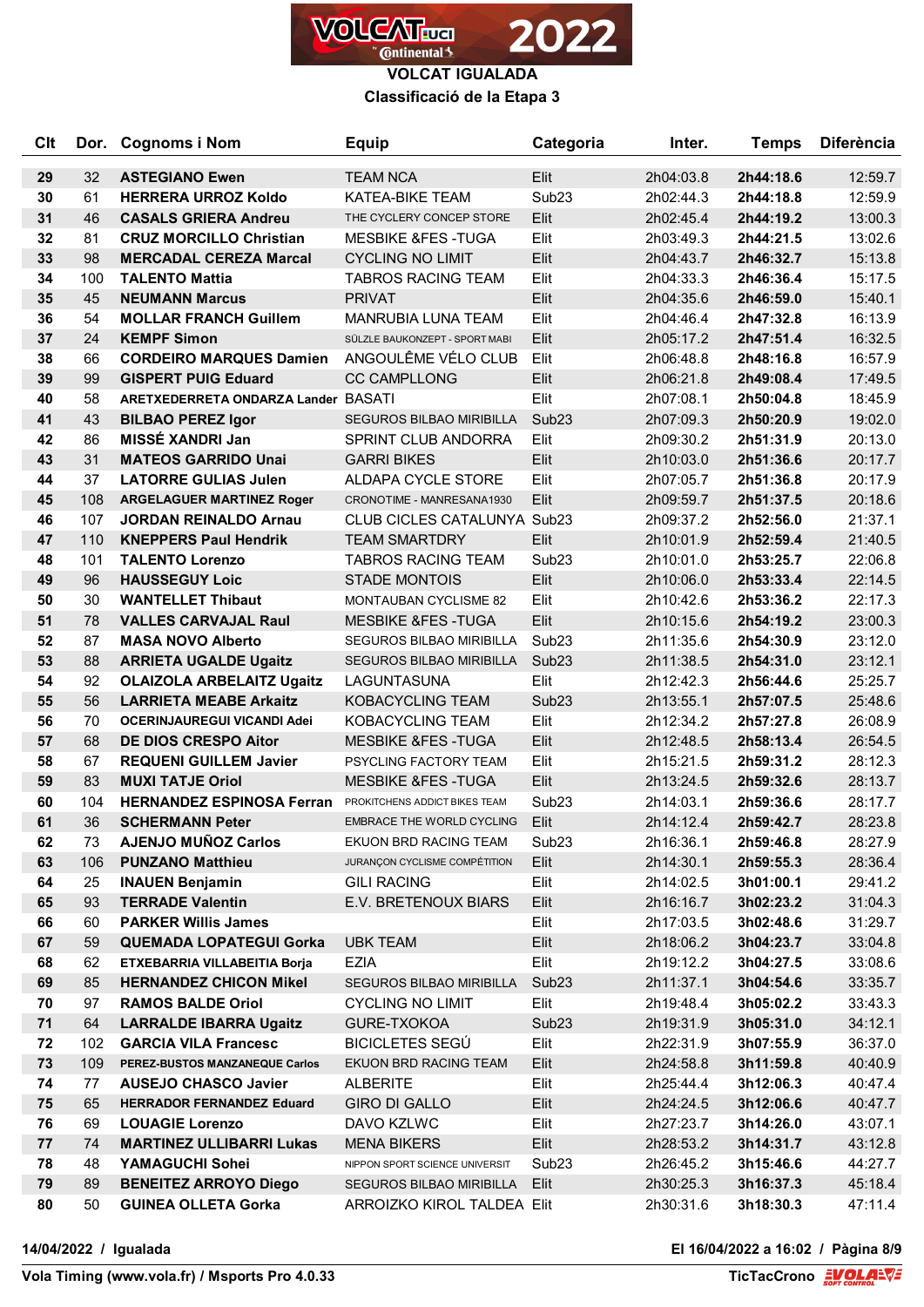

**Classificació de la Etapa 3**

| <b>Clt</b> | Dor. | <b>Cognoms i Nom</b>                | Equip                              | Categoria         | Inter.    | <b>Temps</b> | <b>Diferència</b> |
|------------|------|-------------------------------------|------------------------------------|-------------------|-----------|--------------|-------------------|
| 29         | 32   | <b>ASTEGIANO Ewen</b>               | <b>TEAM NCA</b>                    | Elit              | 2h04:03.8 | 2h44:18.6    | 12:59.7           |
| 30         | 61   | <b>HERRERA URROZ Koldo</b>          | <b>KATEA-BIKE TEAM</b>             | Sub <sub>23</sub> | 2h02:44.3 | 2h44:18.8    | 12:59.9           |
| 31         | 46   | <b>CASALS GRIERA Andreu</b>         | THE CYCLERY CONCEP STORE           | Elit              | 2h02:45.4 | 2h44:19.2    | 13:00.3           |
| 32         | 81   | <b>CRUZ MORCILLO Christian</b>      | <b>MESBIKE &amp;FES-TUGA</b>       | Elit              | 2h03:49.3 | 2h44:21.5    | 13:02.6           |
| 33         | 98   | <b>MERCADAL CEREZA Marcal</b>       | <b>CYCLING NO LIMIT</b>            | Elit              | 2h04:43.7 | 2h46:32.7    | 15:13.8           |
| 34         | 100  | <b>TALENTO Mattia</b>               | <b>TABROS RACING TEAM</b>          | Elit              | 2h04:33.3 | 2h46:36.4    | 15:17.5           |
| 35         | 45   | <b>NEUMANN Marcus</b>               | <b>PRIVAT</b>                      | Elit              | 2h04:35.6 | 2h46:59.0    | 15:40.1           |
| 36         | 54   | <b>MOLLAR FRANCH Guillem</b>        | MANRUBIA LUNA TEAM                 | Elit              | 2h04:46.4 | 2h47:32.8    | 16:13.9           |
| 37         | 24   | <b>KEMPF Simon</b>                  | SÜLZLE BAUKONZEPT - SPORT MABI     | Elit              | 2h05:17.2 | 2h47:51.4    | 16:32.5           |
| 38         | 66   | <b>CORDEIRO MARQUES Damien</b>      | ANGOULÊME VÉLO CLUB                | Elit              | 2h06:48.8 | 2h48:16.8    | 16:57.9           |
| 39         | 99   | <b>GISPERT PUIG Eduard</b>          | <b>CC CAMPLLONG</b>                | Elit              | 2h06:21.8 | 2h49:08.4    | 17:49.5           |
| 40         | 58   | ARETXEDERRETA ONDARZA Lander BASATI |                                    | Elit              | 2h07:08.1 | 2h50:04.8    | 18:45.9           |
| 41         | 43   | <b>BILBAO PEREZ Igor</b>            | <b>SEGUROS BILBAO MIRIBILLA</b>    | Sub <sub>23</sub> | 2h07:09.3 | 2h50:20.9    | 19:02.0           |
| 42         | 86   | MISSÉ XANDRI Jan                    | SPRINT CLUB ANDORRA                | Elit              | 2h09:30.2 | 2h51:31.9    | 20:13.0           |
| 43         | 31   | <b>MATEOS GARRIDO Unai</b>          | <b>GARRI BIKES</b>                 | Elit              | 2h10:03.0 | 2h51:36.6    | 20:17.7           |
| 44         | 37   | <b>LATORRE GULIAS Julen</b>         | <b>ALDAPA CYCLE STORE</b>          | Elit              | 2h07:05.7 | 2h51:36.8    | 20:17.9           |
| 45         | 108  | <b>ARGELAGUER MARTINEZ Roger</b>    | CRONOTIME - MANRESANA1930          | Elit              | 2h09:59.7 | 2h51:37.5    | 20:18.6           |
| 46         | 107  | <b>JORDAN REINALDO Arnau</b>        | <b>CLUB CICLES CATALUNYA Sub23</b> |                   | 2h09:37.2 | 2h52:56.0    | 21:37.1           |
| 47         | 110  | <b>KNEPPERS Paul Hendrik</b>        | <b>TEAM SMARTDRY</b>               | Elit              | 2h10:01.9 | 2h52:59.4    | 21:40.5           |
| 48         | 101  | <b>TALENTO Lorenzo</b>              | <b>TABROS RACING TEAM</b>          | Sub <sub>23</sub> | 2h10:01.0 | 2h53:25.7    | 22:06.8           |
| 49         | 96   | <b>HAUSSEGUY Loic</b>               | <b>STADE MONTOIS</b>               | Elit              | 2h10:06.0 | 2h53:33.4    | 22:14.5           |
| 50         | 30   | <b>WANTELLET Thibaut</b>            | <b>MONTAUBAN CYCLISME 82</b>       | Elit              | 2h10:42.6 | 2h53:36.2    | 22:17.3           |
| 51         | 78   | <b>VALLES CARVAJAL Raul</b>         | <b>MESBIKE &amp;FES-TUGA</b>       | Elit              | 2h10:15.6 | 2h54:19.2    | 23:00.3           |
| 52         | 87   | <b>MASA NOVO Alberto</b>            | SEGUROS BILBAO MIRIBILLA           | Sub <sub>23</sub> | 2h11:35.6 | 2h54:30.9    | 23:12.0           |
| 53         | 88   | <b>ARRIETA UGALDE Ugaitz</b>        | SEGUROS BILBAO MIRIBILLA           | Sub <sub>23</sub> | 2h11:38.5 | 2h54:31.0    | 23:12.1           |
| 54         | 92   | <b>OLAIZOLA ARBELAITZ Ugaitz</b>    | LAGUNTASUNA                        | Elit              | 2h12:42.3 | 2h56:44.6    | 25:25.7           |
| 55         | 56   | <b>LARRIETA MEABE Arkaitz</b>       | <b>KOBACYCLING TEAM</b>            | Sub <sub>23</sub> | 2h13:55.1 | 2h57:07.5    | 25:48.6           |
| 56         | 70   | <b>OCERINJAUREGUI VICANDI Adei</b>  | KOBACYCLING TEAM                   | Elit              | 2h12:34.2 | 2h57:27.8    | 26:08.9           |
| 57         | 68   | <b>DE DIOS CRESPO Aitor</b>         | <b>MESBIKE &amp;FES-TUGA</b>       | Elit              | 2h12:48.5 | 2h58:13.4    | 26:54.5           |
| 58         | 67   | <b>REQUENI GUILLEM Javier</b>       | PSYCLING FACTORY TEAM              | Elit              | 2h15:21.5 | 2h59:31.2    | 28:12.3           |
| 59         | 83   | <b>MUXI TATJE Oriol</b>             | <b>MESBIKE &amp;FES-TUGA</b>       | Elit              | 2h13:24.5 | 2h59:32.6    | 28:13.7           |
| 60         | 104  | <b>HERNANDEZ ESPINOSA Ferran</b>    | PROKITCHENS ADDICT BIKES TEAM      | Sub <sub>23</sub> | 2h14:03.1 | 2h59:36.6    | 28:17.7           |
| 61         | 36   | <b>SCHERMANN Peter</b>              | <b>EMBRACE THE WORLD CYCLING</b>   | Elit.             | 2h14:12.4 | 2h59:42.7    | 28:23.8           |
| 62         | 73   | <b>AJENJO MUÑOZ Carlos</b>          | EKUON BRD RACING TEAM              | Sub <sub>23</sub> | 2h16:36.1 | 2h59:46.8    | 28:27.9           |
| 63         | 106  | <b>PUNZANO Matthieu</b>             | JURANÇON CYCLISME COMPÉTITION      | Elit              | 2h14:30.1 | 2h59:55.3    | 28:36.4           |
| 64         | 25   | <b>INAUEN Benjamin</b>              | <b>GILI RACING</b>                 | Elit              | 2h14:02.5 | 3h01:00.1    | 29:41.2           |
| 65         | 93   | <b>TERRADE Valentin</b>             | E.V. BRETENOUX BIARS               | Elit              | 2h16:16.7 | 3h02:23.2    | 31:04.3           |
| 66         | 60   | <b>PARKER Willis James</b>          |                                    | Elit              | 2h17:03.5 | 3h02:48.6    | 31:29.7           |
| 67         | 59   | <b>QUEMADA LOPATEGUI Gorka</b>      | <b>UBK TEAM</b>                    | Elit              | 2h18:06.2 | 3h04:23.7    | 33:04.8           |
| 68         | 62   | ETXEBARRIA VILLABEITIA Borja        | <b>EZIA</b>                        | Elit              | 2h19:12.2 | 3h04:27.5    | 33:08.6           |
| 69         | 85   | <b>HERNANDEZ CHICON Mikel</b>       | SEGUROS BILBAO MIRIBILLA           | Sub <sub>23</sub> | 2h11:37.1 | 3h04:54.6    | 33:35.7           |
| 70         | 97   | <b>RAMOS BALDE Oriol</b>            | <b>CYCLING NO LIMIT</b>            | Elit              | 2h19:48.4 | 3h05:02.2    | 33:43.3           |
| 71         | 64   | <b>LARRALDE IBARRA Ugaitz</b>       | GURE-TXOKOA                        | Sub <sub>23</sub> | 2h19:31.9 | 3h05:31.0    | 34:12.1           |
| 72         | 102  | <b>GARCIA VILA Francesc</b>         | BICICLETES SEGÚ                    | Elit              | 2h22:31.9 | 3h07:55.9    | 36:37.0           |
| 73         | 109  | PEREZ-BUSTOS MANZANEQUE Carlos      | EKUON BRD RACING TEAM              | Elit              | 2h24:58.8 | 3h11:59.8    | 40:40.9           |
| 74         | 77   | <b>AUSEJO CHASCO Javier</b>         | <b>ALBERITE</b>                    | Elit              | 2h25:44.4 | 3h12:06.3    | 40:47.4           |
| 75         | 65   | <b>HERRADOR FERNANDEZ Eduard</b>    | <b>GIRO DI GALLO</b>               | Elit              | 2h24:24.5 | 3h12:06.6    | 40:47.7           |
| 76         | 69   | <b>LOUAGIE Lorenzo</b>              | DAVO KZLWC                         | Elit              | 2h27:23.7 | 3h14:26.0    | 43:07.1           |
| 77         | 74   | <b>MARTINEZ ULLIBARRI Lukas</b>     | <b>MENA BIKERS</b>                 | Elit              | 2h28:53.2 | 3h14:31.7    | 43:12.8           |
| 78         | 48   | YAMAGUCHI Sohei                     | NIPPON SPORT SCIENCE UNIVERSIT     | Sub <sub>23</sub> | 2h26:45.2 | 3h15:46.6    | 44:27.7           |
| 79         | 89   | <b>BENEITEZ ARROYO Diego</b>        | SEGUROS BILBAO MIRIBILLA           | Elit              | 2h30:25.3 | 3h16:37.3    | 45:18.4           |
| 80         | 50   | <b>GUINEA OLLETA Gorka</b>          | ARROIZKO KIROL TALDEA Elit         |                   | 2h30:31.6 | 3h18:30.3    | 47:11.4           |

**14/04/2022 / Igualada El 16/04/2022 a 16:02 / Pàgina 8/9**